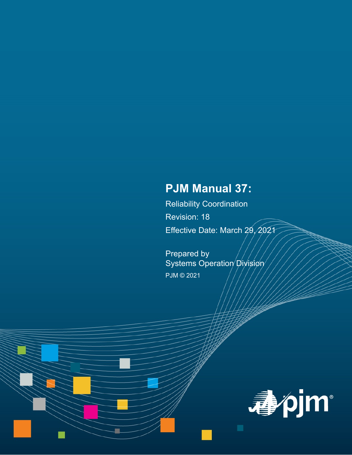# **PJM Manual 37:**

Reliability Coordination Revision: 18 Effective Date: March 29, 2021

Prepared by Systems Operation Division PJM © 2021

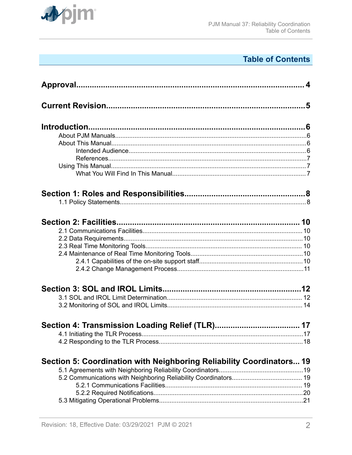

## **Table of Contents**

| Section 5: Coordination with Neighboring Reliability Coordinators 19 |  |
|----------------------------------------------------------------------|--|
|                                                                      |  |
|                                                                      |  |
|                                                                      |  |
|                                                                      |  |
|                                                                      |  |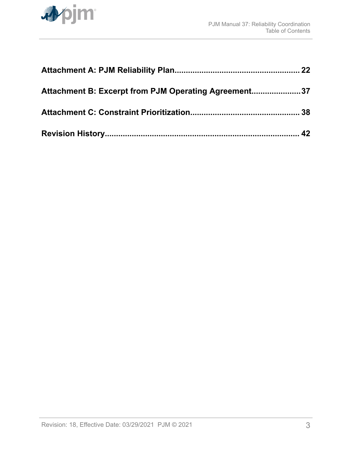

| Attachment B: Excerpt from PJM Operating Agreement37 |  |
|------------------------------------------------------|--|
|                                                      |  |
|                                                      |  |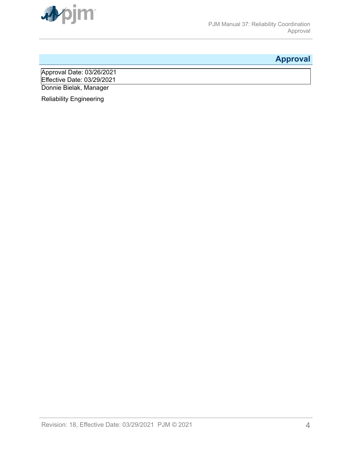<span id="page-3-0"></span>

## **Approval**

Approval Date: 03/26/2021 Effective Date: 03/29/2021 Donnie Bielak, Manager

Reliability Engineering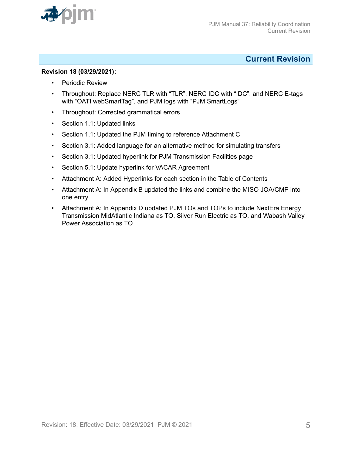<span id="page-4-0"></span>

## **Current Revision**

### **Revision 18 (03/29/2021):**

- Periodic Review
- Throughout: Replace NERC TLR with "TLR", NERC IDC with "IDC", and NERC E-tags with "OATI webSmartTag", and PJM logs with "PJM SmartLogs"
- Throughout: Corrected grammatical errors
- Section 1.1: Updated links
- Section 1.1: Updated the PJM timing to reference Attachment C
- Section 3.1: Added language for an alternative method for simulating transfers
- Section 3.1: Updated hyperlink for PJM Transmission Facilities page
- Section 5.1: Update hyperlink for VACAR Agreement
- Attachment A: Added Hyperlinks for each section in the Table of Contents
- Attachment A: In Appendix B updated the links and combine the MISO JOA/CMP into one entry
- Attachment A: In Appendix D updated PJM TOs and TOPs to include NextEra Energy Transmission MidAtlantic Indiana as TO, Silver Run Electric as TO, and Wabash Valley Power Association as TO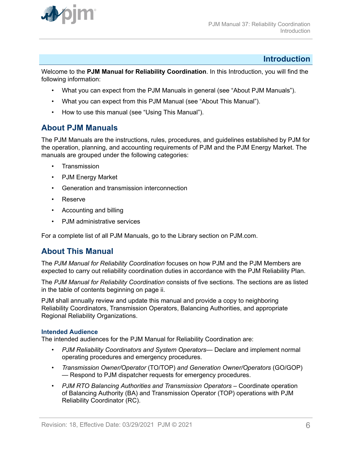<span id="page-5-0"></span>

## **Introduction**

Welcome to the **PJM Manual for Reliability Coordination**. In this Introduction, you will find the following information:

- What you can expect from the PJM Manuals in general (see "About PJM Manuals").
- What you can expect from this PJM Manual (see "About This Manual").
- How to use this manual (see "Using This Manual").

## **About PJM Manuals**

The PJM Manuals are the instructions, rules, procedures, and guidelines established by PJM for the operation, planning, and accounting requirements of PJM and the PJM Energy Market. The manuals are grouped under the following categories:

- **Transmission**
- PJM Energy Market
- Generation and transmission interconnection
- Reserve
- Accounting and billing
- PJM administrative services

For a complete list of all PJM Manuals, go to the Library section on PJM.com.

## **About This Manual**

The *PJM Manual for Reliability Coordination* focuses on how PJM and the PJM Members are expected to carry out reliability coordination duties in accordance with the PJM Reliability Plan.

The *PJM Manual for Reliability Coordination* consists of five sections. The sections are as listed in the table of contents beginning on page ii.

PJM shall annually review and update this manual and provide a copy to neighboring Reliability Coordinators, Transmission Operators, Balancing Authorities, and appropriate Regional Reliability Organizations.

### **Intended Audience**

The intended audiences for the PJM Manual for Reliability Coordination are:

- *PJM Reliability Coordinators and System Operators* Declare and implement normal operating procedures and emergency procedures.
- *Transmission Owner/Operator* (TO/TOP) *and Generation Owner/Operators* (GO/GOP) — Respond to PJM dispatcher requests for emergency procedures.
- PJM RTO Balancing Authorities and Transmission Operators Coordinate operation of Balancing Authority (BA) and Transmission Operator (TOP) operations with PJM Reliability Coordinator (RC).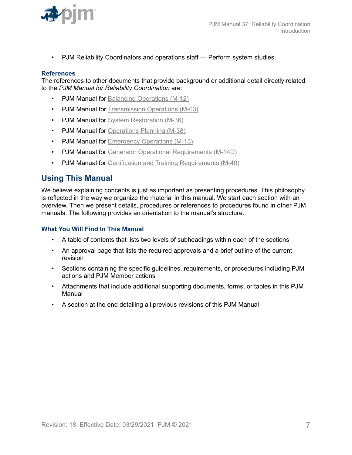<span id="page-6-0"></span>

• PJM Reliability Coordinators and operations staff — Perform system studies.

### **References**

The references to other documents that provide background or additional detail directly related to the *PJM Manual for Reliability Coordination* are:

- **PJM Manual for [Balancing Operations \(M-12\)](http://www.pjm.com/~/media/documents/manuals/m12.ashx)**
- PJM Manual for [Transmission Operations \(M-03\)](http://www.pjm.com/~/media/documents/manuals/m03.ashx)
- PJM Manual for [System Restoration \(M-36\)](http://www.pjm.com/~/media/documents/manuals/m36.ashx)
- PJM Manual for [Operations Planning \(M-38\)](http://www.pjm.com/~/media/documents/manuals/m38.ashx)
- PJM Manual for [Emergency Operations \(M-13\)](http://www.pjm.com/~/media/documents/manuals/m13.ashx)
- PJM Manual for [Generator Operational Requirements \(M-14D\)](http://www.pjm.com/~/media/documents/manuals/m14d.ashx)
- PJM Manual for [Certification and Training Requirements \(M-40\)](http://www.pjm.com/~/media/documents/manuals/m40.ashx)

## **Using This Manual**

We believe explaining concepts is just as important as presenting procedures. This philosophy is reflected in the way we organize the material in this manual. We start each section with an overview. Then we present details, procedures or references to procedures found in other PJM manuals. The following provides an orientation to the manual's structure.

### **What You Will Find In This Manual**

- A table of contents that lists two levels of subheadings within each of the sections
- An approval page that lists the required approvals and a brief outline of the current revision
- Sections containing the specific guidelines, requirements, or procedures including PJM actions and PJM Member actions
- Attachments that include additional supporting documents, forms, or tables in this PJM Manual
- A section at the end detailing all previous revisions of this PJM Manual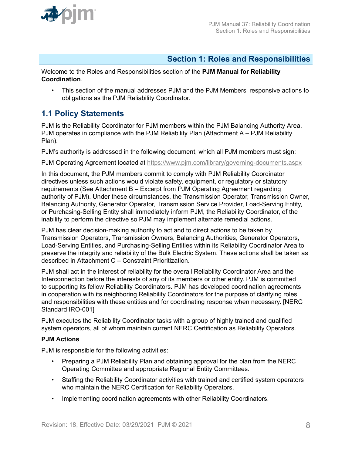<span id="page-7-0"></span>

## **Section 1: Roles and Responsibilities**

Welcome to the Roles and Responsibilities section of the **PJM Manual for Reliability Coordination**.

• This section of the manual addresses PJM and the PJM Members' responsive actions to obligations as the PJM Reliability Coordinator.

## **1.1 Policy Statements**

PJM is the Reliability Coordinator for PJM members within the PJM Balancing Authority Area. PJM operates in compliance with the PJM Reliability Plan (Attachment A – PJM Reliability Plan).

PJM's authority is addressed in the following document, which all PJM members must sign:

PJM Operating Agreement located at<https://www.pjm.com/library/governing-documents.aspx>

In this document, the PJM members commit to comply with PJM Reliability Coordinator directives unless such actions would violate safety, equipment, or regulatory or statutory requirements (See Attachment B – Excerpt from PJM Operating Agreement regarding authority of PJM). Under these circumstances, the Transmission Operator, Transmission Owner, Balancing Authority, Generator Operator, Transmission Service Provider, Load-Serving Entity, or Purchasing-Selling Entity shall immediately inform PJM, the Reliability Coordinator, of the inability to perform the directive so PJM may implement alternate remedial actions.

PJM has clear decision-making authority to act and to direct actions to be taken by Transmission Operators, Transmission Owners, Balancing Authorities, Generator Operators, Load-Serving Entities, and Purchasing-Selling Entities within its Reliability Coordinator Area to preserve the integrity and reliability of the Bulk Electric System. These actions shall be taken as described in Attachment C – Constraint Prioritization.

PJM shall act in the interest of reliability for the overall Reliability Coordinator Area and the Interconnection before the interests of any of its members or other entity. PJM is committed to supporting its fellow Reliability Coordinators. PJM has developed coordination agreements in cooperation with its neighboring Reliability Coordinators for the purpose of clarifying roles and responsibilities with these entities and for coordinating response when necessary. [NERC Standard IRO-001]

PJM executes the Reliability Coordinator tasks with a group of highly trained and qualified system operators, all of whom maintain current NERC Certification as Reliability Operators.

## **PJM Actions**

PJM is responsible for the following activities:

- Preparing a PJM Reliability Plan and obtaining approval for the plan from the NERC Operating Committee and appropriate Regional Entity Committees.
- Staffing the Reliability Coordinator activities with trained and certified system operators who maintain the NERC Certification for Reliability Operators.
- Implementing coordination agreements with other Reliability Coordinators.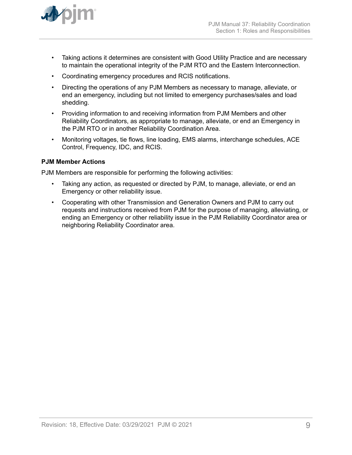

- Taking actions it determines are consistent with Good Utility Practice and are necessary to maintain the operational integrity of the PJM RTO and the Eastern Interconnection.
- Coordinating emergency procedures and RCIS notifications.
- Directing the operations of any PJM Members as necessary to manage, alleviate, or end an emergency, including but not limited to emergency purchases/sales and load shedding.
- Providing information to and receiving information from PJM Members and other Reliability Coordinators, as appropriate to manage, alleviate, or end an Emergency in the PJM RTO or in another Reliability Coordination Area.
- Monitoring voltages, tie flows, line loading, EMS alarms, interchange schedules, ACE Control, Frequency, IDC, and RCIS.

## **PJM Member Actions**

PJM Members are responsible for performing the following activities:

- Taking any action, as requested or directed by PJM, to manage, alleviate, or end an Emergency or other reliability issue.
- Cooperating with other Transmission and Generation Owners and PJM to carry out requests and instructions received from PJM for the purpose of managing, alleviating, or ending an Emergency or other reliability issue in the PJM Reliability Coordinator area or neighboring Reliability Coordinator area.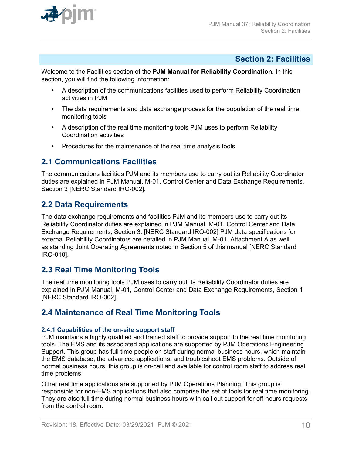<span id="page-9-0"></span>

## **Section 2: Facilities**

Welcome to the Facilities section of the **PJM Manual for Reliability Coordination**. In this section, you will find the following information:

- A description of the communications facilities used to perform Reliability Coordination activities in PJM
- The data requirements and data exchange process for the population of the real time monitoring tools
- A description of the real time monitoring tools PJM uses to perform Reliability Coordination activities
- Procedures for the maintenance of the real time analysis tools

## **2.1 Communications Facilities**

The communications facilities PJM and its members use to carry out its Reliability Coordinator duties are explained in PJM Manual, M-01, Control Center and Data Exchange Requirements, Section 3 [NERC Standard IRO-002].

## **2.2 Data Requirements**

The data exchange requirements and facilities PJM and its members use to carry out its Reliability Coordinator duties are explained in PJM Manual, M-01, Control Center and Data Exchange Requirements, Section 3. [NERC Standard IRO-002] PJM data specifications for external Reliability Coordinators are detailed in PJM Manual, M-01, Attachment A as well as standing Joint Operating Agreements noted in Section 5 of this manual [NERC Standard IRO-010].

## **2.3 Real Time Monitoring Tools**

The real time monitoring tools PJM uses to carry out its Reliability Coordinator duties are explained in PJM Manual, M-01, Control Center and Data Exchange Requirements, Section 1 [NERC Standard IRO-002].

## **2.4 Maintenance of Real Time Monitoring Tools**

## **2.4.1 Capabilities of the on-site support staff**

PJM maintains a highly qualified and trained staff to provide support to the real time monitoring tools. The EMS and its associated applications are supported by PJM Operations Engineering Support. This group has full time people on staff during normal business hours, which maintain the EMS database, the advanced applications, and troubleshoot EMS problems. Outside of normal business hours, this group is on-call and available for control room staff to address real time problems.

Other real time applications are supported by PJM Operations Planning. This group is responsible for non-EMS applications that also comprise the set of tools for real time monitoring. They are also full time during normal business hours with call out support for off-hours requests from the control room.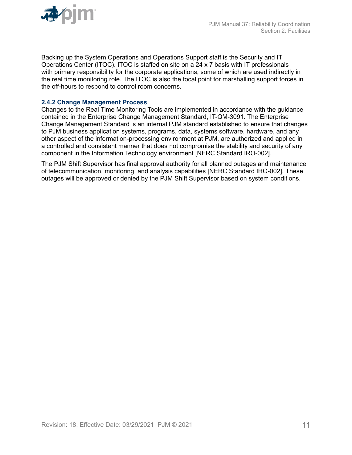<span id="page-10-0"></span>

Backing up the System Operations and Operations Support staff is the Security and IT Operations Center (ITOC). ITOC is staffed on site on a 24 x 7 basis with IT professionals with primary responsibility for the corporate applications, some of which are used indirectly in the real time monitoring role. The ITOC is also the focal point for marshalling support forces in the off-hours to respond to control room concerns.

## **2.4.2 Change Management Process**

Changes to the Real Time Monitoring Tools are implemented in accordance with the guidance contained in the Enterprise Change Management Standard, IT-QM-3091. The Enterprise Change Management Standard is an internal PJM standard established to ensure that changes to PJM business application systems, programs, data, systems software, hardware, and any other aspect of the information-processing environment at PJM, are authorized and applied in a controlled and consistent manner that does not compromise the stability and security of any component in the Information Technology environment [NERC Standard IRO-002].

The PJM Shift Supervisor has final approval authority for all planned outages and maintenance of telecommunication, monitoring, and analysis capabilities [NERC Standard IRO-002]. These outages will be approved or denied by the PJM Shift Supervisor based on system conditions.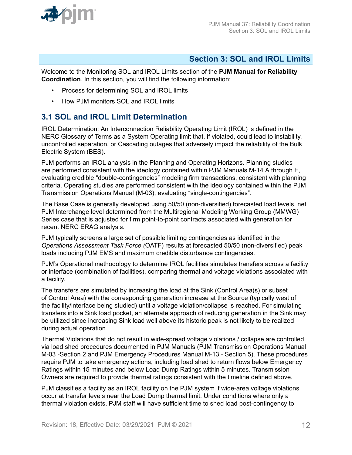<span id="page-11-0"></span>

## **Section 3: SOL and IROL Limits**

Welcome to the Monitoring SOL and IROL Limits section of the **PJM Manual for Reliability Coordination**. In this section, you will find the following information:

- Process for determining SOL and IROL limits
- How PJM monitors SOL and IROL limits

## **3.1 SOL and IROL Limit Determination**

IROL Determination: An Interconnection Reliability Operating Limit (IROL) is defined in the NERC Glossary of Terms as a System Operating limit that, if violated, could lead to instability, uncontrolled separation, or Cascading outages that adversely impact the reliability of the Bulk Electric System (BES).

PJM performs an IROL analysis in the Planning and Operating Horizons. Planning studies are performed consistent with the ideology contained within PJM Manuals M-14 A through E, evaluating credible "double-contingencies" modeling firm transactions, consistent with planning criteria. Operating studies are performed consistent with the ideology contained within the PJM Transmission Operations Manual (M-03), evaluating "single-contingencies".

The Base Case is generally developed using 50/50 (non-diversified) forecasted load levels, net PJM Interchange level determined from the Multiregional Modeling Working Group (MMWG) Series case that is adjusted for firm point-to-point contracts associated with generation for recent NERC ERAG analysis.

PJM typically screens a large set of possible limiting contingencies as identified in the *Operations Assessment Task Force (*OATF) results at forecasted 50/50 (non-diversified) peak loads including PJM EMS and maximum credible disturbance contingencies.

PJM's Operational methodology to determine IROL facilities simulates transfers across a facility or interface (combination of facilities), comparing thermal and voltage violations associated with a facility.

The transfers are simulated by increasing the load at the Sink (Control Area(s) or subset of Control Area) with the corresponding generation increase at the Source (typically west of the facility/interface being studied) until a voltage violation/collapse is reached. For simulating transfers into a Sink load pocket, an alternate approach of reducing generation in the Sink may be utilized since increasing Sink load well above its historic peak is not likely to be realized during actual operation.

Thermal Violations that do not result in wide-spread voltage violations / collapse are controlled via load shed procedures documented in PJM Manuals (PJM Transmission Operations Manual M-03 -Section 2 and PJM Emergency Procedures Manual M-13 - Section 5). These procedures require PJM to take emergency actions, including load shed to return flows below Emergency Ratings within 15 minutes and below Load Dump Ratings within 5 minutes. Transmission Owners are required to provide thermal ratings consistent with the timeline defined above.

PJM classifies a facility as an IROL facility on the PJM system if wide-area voltage violations occur at transfer levels near the Load Dump thermal limit. Under conditions where only a thermal violation exists, PJM staff will have sufficient time to shed load post-contingency to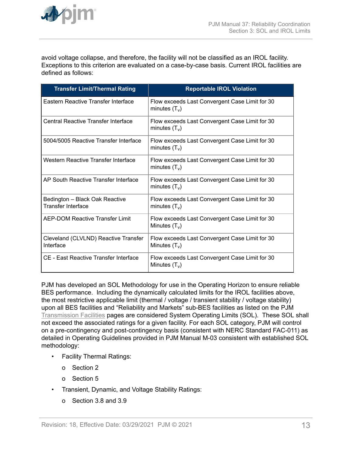

avoid voltage collapse, and therefore, the facility will not be classified as an IROL facility. Exceptions to this criterion are evaluated on a case-by-case basis. Current IROL facilities are defined as follows:

| <b>Transfer Limit/Thermal Rating</b>                        | <b>Reportable IROL Violation</b>                                  |
|-------------------------------------------------------------|-------------------------------------------------------------------|
| Eastern Reactive Transfer Interface                         | Flow exceeds Last Convergent Case Limit for 30<br>minutes $(T_v)$ |
| Central Reactive Transfer Interface                         | Flow exceeds Last Convergent Case Limit for 30<br>minutes $(T_v)$ |
| 5004/5005 Reactive Transfer Interface                       | Flow exceeds Last Convergent Case Limit for 30<br>minutes $(T_v)$ |
| Western Reactive Transfer Interface                         | Flow exceeds Last Convergent Case Limit for 30<br>minutes $(T_v)$ |
| AP South Reactive Transfer Interface                        | Flow exceeds Last Convergent Case Limit for 30<br>minutes $(T_v)$ |
| Bedington - Black Oak Reactive<br><b>Transfer Interface</b> | Flow exceeds Last Convergent Case Limit for 30<br>minutes $(T_v)$ |
| AEP-DOM Reactive Transfer Limit                             | Flow exceeds Last Convergent Case Limit for 30<br>Minutes $(T_v)$ |
| Cleveland (CLVLND) Reactive Transfer<br>Interface           | Flow exceeds Last Convergent Case Limit for 30<br>Minutes $(T_v)$ |
| CE - East Reactive Transfer Interface                       | Flow exceeds Last Convergent Case Limit for 30<br>Minutes $(T_v)$ |

PJM has developed an SOL Methodology for use in the Operating Horizon to ensure reliable BES performance. Including the dynamically calculated limits for the IROL facilities above, the most restrictive applicable limit (thermal / voltage / transient stability / voltage stability) upon all BES facilities and "Reliability and Markets" sub-BES facilities as listed on the PJM [Transmission Facilities](https://www.pjm.com/markets-and-operations/ops-analysis/transmission-facilities.aspx) pages are considered System Operating Limits (SOL). These SOL shall not exceed the associated ratings for a given facility. For each SOL category, PJM will control on a pre-contingency and post-contingency basis (consistent with NERC Standard FAC-011) as detailed in Operating Guidelines provided in PJM Manual M-03 consistent with established SOL methodology:

- Facility Thermal Ratings:
	- o Section 2
	- o Section 5
- Transient, Dynamic, and Voltage Stability Ratings:
	- o Section 3.8 and 3.9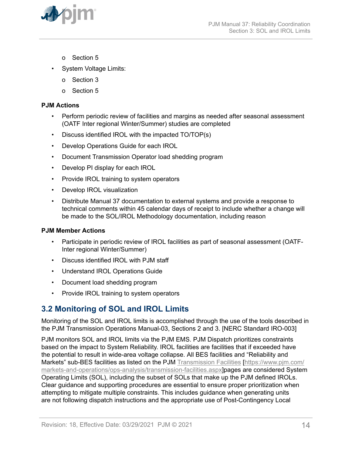<span id="page-13-0"></span>

- o Section 5
- System Voltage Limits:
	- o Section 3
	- o Section 5

## **PJM Actions**

- Perform periodic review of facilities and margins as needed after seasonal assessment (OATF Inter regional Winter/Summer) studies are completed
- Discuss identified IROL with the impacted TO/TOP(s)
- Develop Operations Guide for each IROL
- Document Transmission Operator load shedding program
- Develop PI display for each IROL
- Provide IROL training to system operators
- Develop IROL visualization
- Distribute Manual 37 documentation to external systems and provide a response to technical comments within 45 calendar days of receipt to include whether a change will be made to the SOL/IROL Methodology documentation, including reason

## **PJM Member Actions**

- Participate in periodic review of IROL facilities as part of seasonal assessment (OATF-Inter regional Winter/Summer)
- Discuss identified IROL with PJM staff
- Understand IROL Operations Guide
- Document load shedding program
- Provide IROL training to system operators

## **3.2 Monitoring of SOL and IROL Limits**

Monitoring of the SOL and IROL limits is accomplished through the use of the tools described in the PJM Transmission Operations Manual-03, Sections 2 and 3. [NERC Standard IRO-003]

PJM monitors SOL and IROL limits via the PJM EMS. PJM Dispatch prioritizes constraints based on the impact to System Reliability. IROL facilities are facilities that if exceeded have the potential to result in wide-area voltage collapse. All BES facilities and "Reliability and Markets" sub-BES facilities as listed on the PJM [Transmission Facilities](http://www.pjm.com/markets-and-operations/ops-analysis/transmission-facilities.aspx) [[https://www.pjm.com/](https://www.pjm.com/markets-and-operations/ops-analysis/transmission-facilities.aspx) [markets-and-operations/ops-analysis/transmission-facilities.aspx](https://www.pjm.com/markets-and-operations/ops-analysis/transmission-facilities.aspx)]pages are considered System Operating Limits (SOL), including the subset of SOLs that make up the PJM defined IROLs. Clear guidance and supporting procedures are essential to ensure proper prioritization when attempting to mitigate multiple constraints. This includes guidance when generating units are not following dispatch instructions and the appropriate use of Post-Contingency Local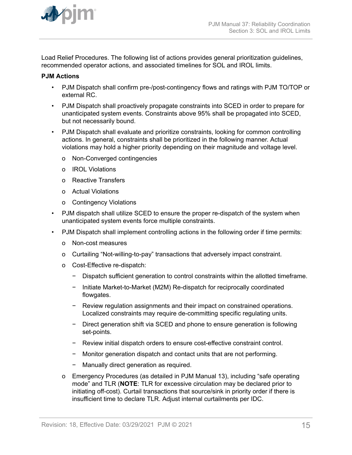

Load Relief Procedures. The following list of actions provides general prioritization guidelines, recommended operator actions, and associated timelines for SOL and IROL limits.

## **PJM Actions**

- PJM Dispatch shall confirm pre-/post-contingency flows and ratings with PJM TO/TOP or external RC.
- PJM Dispatch shall proactively propagate constraints into SCED in order to prepare for unanticipated system events. Constraints above 95% shall be propagated into SCED, but not necessarily bound.
- PJM Dispatch shall evaluate and prioritize constraints, looking for common controlling actions. In general, constraints shall be prioritized in the following manner. Actual violations may hold a higher priority depending on their magnitude and voltage level.
	- o Non-Converged contingencies
	- o IROL Violations
	- o Reactive Transfers
	- o Actual Violations
	- o Contingency Violations
- PJM dispatch shall utilize SCED to ensure the proper re-dispatch of the system when unanticipated system events force multiple constraints.
- PJM Dispatch shall implement controlling actions in the following order if time permits:
	- o Non-cost measures
	- o Curtailing "Not-willing-to-pay" transactions that adversely impact constraint.
	- o Cost-Effective re-dispatch:
		- − Dispatch sufficient generation to control constraints within the allotted timeframe.
		- − Initiate Market-to-Market (M2M) Re-dispatch for reciprocally coordinated flowgates.
		- − Review regulation assignments and their impact on constrained operations. Localized constraints may require de-committing specific regulating units.
		- − Direct generation shift via SCED and phone to ensure generation is following set-points.
		- − Review initial dispatch orders to ensure cost-effective constraint control.
		- − Monitor generation dispatch and contact units that are not performing.
		- − Manually direct generation as required.
	- o Emergency Procedures (as detailed in PJM Manual 13), including "safe operating mode" and TLR (**NOTE**: TLR for excessive circulation may be declared prior to initiating off-cost). Curtail transactions that source/sink in priority order if there is insufficient time to declare TLR. Adjust internal curtailments per IDC.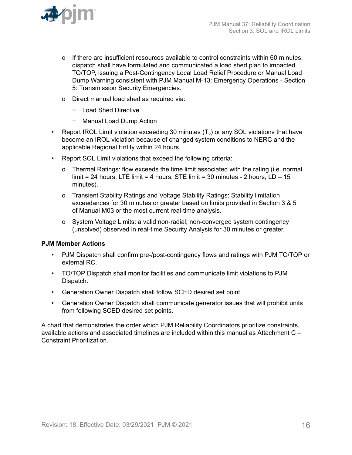

- o If there are insufficient resources available to control constraints within 60 minutes, dispatch shall have formulated and communicated a load shed plan to impacted TO/TOP, issuing a Post-Contingency Local Load Relief Procedure or Manual Load Dump Warning consistent with PJM Manual M-13: Emergency Operations - Section 5: Transmission Security Emergencies.
- o Direct manual load shed as required via:
	- − Load Shed Directive
	- − Manual Load Dump Action
- Report IROL Limit violation exceeding 30 minutes (T<sub>v</sub>) or any SOL violations that have become an IROL violation because of changed system conditions to NERC and the applicable Regional Entity within 24 hours.
- Report SOL Limit violations that exceed the following criteria:
	- o Thermal Ratings: flow exceeds the time limit associated with the rating (i.e. normal limit = 24 hours, LTE limit = 4 hours, STE limit = 30 minutes - 2 hours,  $LD - 15$ minutes).
	- o Transient Stability Ratings and Voltage Stability Ratings: Stability limitation exceedances for 30 minutes or greater based on limits provided in Section 3 & 5 of Manual M03 or the most current real-time analysis.
	- o System Voltage Limits: a valid non-radial, non-converged system contingency (unsolved) observed in real-time Security Analysis for 30 minutes or greater.

### **PJM Member Actions**

- PJM Dispatch shall confirm pre-/post-contingency flows and ratings with PJM TO/TOP or external RC.
- TO/TOP Dispatch shall monitor facilities and communicate limit violations to PJM Dispatch.
- Generation Owner Dispatch shall follow SCED desired set point.
- Generation Owner Dispatch shall communicate generator issues that will prohibit units from following SCED desired set points.

A chart that demonstrates the order which PJM Reliability Coordinators prioritize constraints, available actions and associated timelines are included within this manual as Attachment C – Constraint Prioritization.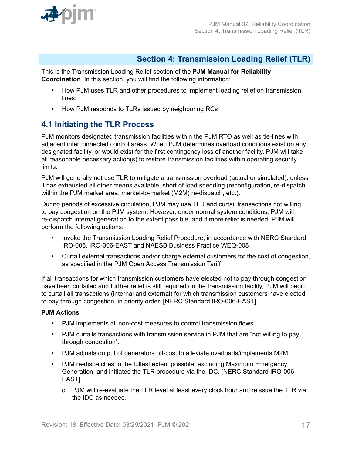<span id="page-16-0"></span>

## **Section 4: Transmission Loading Relief (TLR)**

This is the Transmission Loading Relief section of the **PJM Manual for Reliability Coordination**. In this section, you will find the following information:

- How PJM uses TLR and other procedures to implement loading relief on transmission lines.
- How PJM responds to TLRs issued by neighboring RCs

## **4.1 Initiating the TLR Process**

PJM monitors designated transmission facilities within the PJM RTO as well as tie-lines with adjacent interconnected control areas. When PJM determines overload conditions exist on any designated facility, or would exist for the first contingency loss of another facility, PJM will take all reasonable necessary action(s) to restore transmission facilities within operating security limits.

PJM will generally not use TLR to mitigate a transmission overload (actual or simulated), unless it has exhausted all other means available, short of load shedding (reconfiguration, re-dispatch within the PJM market area, market-to-market (M2M) re-dispatch, etc.).

During periods of excessive circulation, PJM may use TLR and curtail transactions not willing to pay congestion on the PJM system. However, under normal system conditions, PJM will re-dispatch internal generation to the extent possible, and if more relief is needed, PJM will perform the following actions:

- Invoke the Transmission Loading Relief Procedure, in accordance with NERC Standard IRO-006, IRO-006-EAST and NAESB Business Practice WEQ-008
- Curtail external transactions and/or charge external customers for the cost of congestion, as specified in the PJM Open Access Transmission Tariff

If all transactions for which transmission customers have elected not to pay through congestion have been curtailed and further relief is still required on the transmission facility, PJM will begin to curtail all transactions (internal and external) for which transmission customers have elected to pay through congestion, in priority order. [NERC Standard IRO-006-EAST]

## **PJM Actions**

- PJM implements all non-cost measures to control transmission flows.
- PJM curtails transactions with transmission service in PJM that are "not willing to pay through congestion".
- PJM adjusts output of generators off-cost to alleviate overloads/implements M2M.
- PJM re-dispatches to the fullest extent possible, excluding Maximum Emergency Generation, and initiates the TLR procedure via the IDC. [NERC Standard IRO-006- EAST]
	- o PJM will re-evaluate the TLR level at least every clock hour and reissue the TLR via the IDC as needed.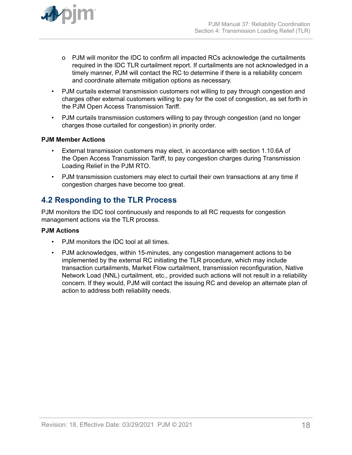<span id="page-17-0"></span>

- o PJM will monitor the IDC to confirm all impacted RCs acknowledge the curtailments required in the IDC TLR curtailment report. If curtailments are not acknowledged in a timely manner, PJM will contact the RC to determine if there is a reliability concern and coordinate alternate mitigation options as necessary.
- PJM curtails external transmission customers not willing to pay through congestion and charges other external customers willing to pay for the cost of congestion, as set forth in the PJM Open Access Transmission Tariff.
- PJM curtails transmission customers willing to pay through congestion (and no longer charges those curtailed for congestion) in priority order.

## **PJM Member Actions**

- External transmission customers may elect, in accordance with section 1.10.6A of the Open Access Transmission Tariff, to pay congestion charges during Transmission Loading Relief in the PJM RTO.
- PJM transmission customers may elect to curtail their own transactions at any time if congestion charges have become too great.

## **4.2 Responding to the TLR Process**

PJM monitors the IDC tool continuously and responds to all RC requests for congestion management actions via the TLR process.

## **PJM Actions**

- PJM monitors the IDC tool at all times.
- PJM acknowledges, within 15-minutes, any congestion management actions to be implemented by the external RC initiating the TLR procedure, which may include transaction curtailments, Market Flow curtailment, transmission reconfiguration, Native Network Load (NNL) curtailment, etc., provided such actions will not result in a reliability concern. If they would, PJM will contact the issuing RC and develop an alternate plan of action to address both reliability needs.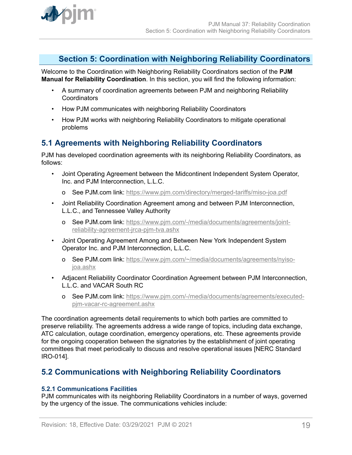<span id="page-18-0"></span>

## **Section 5: Coordination with Neighboring Reliability Coordinators**

Welcome to the Coordination with Neighboring Reliability Coordinators section of the **PJM Manual for Reliability Coordination**. In this section, you will find the following information:

- A summary of coordination agreements between PJM and neighboring Reliability Coordinators
- How PJM communicates with neighboring Reliability Coordinators
- How PJM works with neighboring Reliability Coordinators to mitigate operational problems

## **5.1 Agreements with Neighboring Reliability Coordinators**

PJM has developed coordination agreements with its neighboring Reliability Coordinators, as follows:

- Joint Operating Agreement between the Midcontinent Independent System Operator, Inc. and PJM Interconnection, L.L.C.
	- o See PJM.com link: <https://www.pjm.com/directory/merged-tariffs/miso-joa.pdf>
- Joint Reliability Coordination Agreement among and between PJM Interconnection, L.L.C., and Tennessee Valley Authority
	- o See PJM.com link: [https://www.pjm.com/-/media/documents/agreements/joint](https://www.pjm.com/-/media/documents/agreements/joint-reliability-agreement-jrca-pjm-tva.ashx)[reliability-agreement-jrca-pjm-tva.ashx](https://www.pjm.com/-/media/documents/agreements/joint-reliability-agreement-jrca-pjm-tva.ashx)
- Joint Operating Agreement Among and Between New York Independent System Operator Inc. and PJM Interconnection, L.L.C.
	- o See PJM.com link: [https://www.pjm.com/~/media/documents/agreements/nyiso](https://www.pjm.com/~/media/documents/agreements/nyiso-joa.ashx)[joa.ashx](https://www.pjm.com/~/media/documents/agreements/nyiso-joa.ashx)
- Adjacent Reliability Coordinator Coordination Agreement between PJM Interconnection, L.L.C. and VACAR South RC
	- o See PJM.com link: [https://www.pjm.com/-/media/documents/agreements/executed](https://www.pjm.com/-/media/documents/agreements/executed-pjm-vacar-rc-agreement.ashx)[pjm-vacar-rc-agreement.ashx](https://www.pjm.com/-/media/documents/agreements/executed-pjm-vacar-rc-agreement.ashx)

The coordination agreements detail requirements to which both parties are committed to preserve reliability. The agreements address a wide range of topics, including data exchange, ATC calculation, outage coordination, emergency operations, etc. These agreements provide for the ongoing cooperation between the signatories by the establishment of joint operating committees that meet periodically to discuss and resolve operational issues [NERC Standard IRO-014].

## **5.2 Communications with Neighboring Reliability Coordinators**

## **5.2.1 Communications Facilities**

PJM communicates with its neighboring Reliability Coordinators in a number of ways, governed by the urgency of the issue. The communications vehicles include: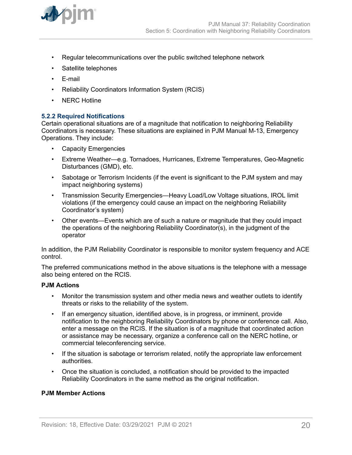<span id="page-19-0"></span>

- Regular telecommunications over the public switched telephone network
- Satellite telephones
- E-mail
- Reliability Coordinators Information System (RCIS)
- NERC Hotline

### **5.2.2 Required Notifications**

Certain operational situations are of a magnitude that notification to neighboring Reliability Coordinators is necessary. These situations are explained in PJM Manual M-13, Emergency Operations. They include:

- Capacity Emergencies
- Extreme Weather—e.g. Tornadoes, Hurricanes, Extreme Temperatures, Geo-Magnetic Disturbances (GMD), etc.
- Sabotage or Terrorism Incidents (if the event is significant to the PJM system and may impact neighboring systems)
- Transmission Security Emergencies—Heavy Load/Low Voltage situations, IROL limit violations (if the emergency could cause an impact on the neighboring Reliability Coordinator's system)
- Other events—Events which are of such a nature or magnitude that they could impact the operations of the neighboring Reliability Coordinator(s), in the judgment of the operator

In addition, the PJM Reliability Coordinator is responsible to monitor system frequency and ACE control.

The preferred communications method in the above situations is the telephone with a message also being entered on the RCIS.

### **PJM Actions**

- Monitor the transmission system and other media news and weather outlets to identify threats or risks to the reliability of the system.
- If an emergency situation, identified above, is in progress, or imminent, provide notification to the neighboring Reliability Coordinators by phone or conference call. Also, enter a message on the RCIS. If the situation is of a magnitude that coordinated action or assistance may be necessary, organize a conference call on the NERC hotline, or commercial teleconferencing service.
- If the situation is sabotage or terrorism related, notify the appropriate law enforcement authorities.
- Once the situation is concluded, a notification should be provided to the impacted Reliability Coordinators in the same method as the original notification.

### **PJM Member Actions**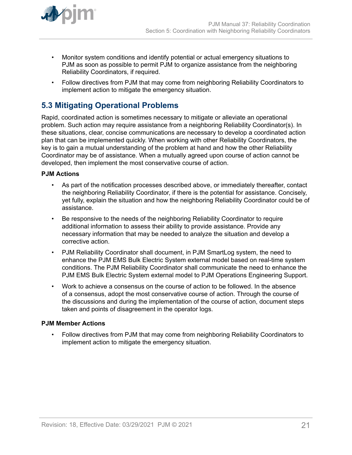<span id="page-20-0"></span>

- Monitor system conditions and identify potential or actual emergency situations to PJM as soon as possible to permit PJM to organize assistance from the neighboring Reliability Coordinators, if required.
- Follow directives from PJM that may come from neighboring Reliability Coordinators to implement action to mitigate the emergency situation.

## **5.3 Mitigating Operational Problems**

Rapid, coordinated action is sometimes necessary to mitigate or alleviate an operational problem. Such action may require assistance from a neighboring Reliability Coordinator(s). In these situations, clear, concise communications are necessary to develop a coordinated action plan that can be implemented quickly. When working with other Reliability Coordinators, the key is to gain a mutual understanding of the problem at hand and how the other Reliability Coordinator may be of assistance. When a mutually agreed upon course of action cannot be developed, then implement the most conservative course of action.

## **PJM Actions**

- As part of the notification processes described above, or immediately thereafter, contact the neighboring Reliability Coordinator, if there is the potential for assistance. Concisely, yet fully, explain the situation and how the neighboring Reliability Coordinator could be of assistance.
- Be responsive to the needs of the neighboring Reliability Coordinator to require additional information to assess their ability to provide assistance. Provide any necessary information that may be needed to analyze the situation and develop a corrective action.
- PJM Reliability Coordinator shall document, in PJM SmartLog system, the need to enhance the PJM EMS Bulk Electric System external model based on real-time system conditions. The PJM Reliability Coordinator shall communicate the need to enhance the PJM EMS Bulk Electric System external model to PJM Operations Engineering Support.
- Work to achieve a consensus on the course of action to be followed. In the absence of a consensus, adopt the most conservative course of action. Through the course of the discussions and during the implementation of the course of action, document steps taken and points of disagreement in the operator logs.

## **PJM Member Actions**

• Follow directives from PJM that may come from neighboring Reliability Coordinators to implement action to mitigate the emergency situation.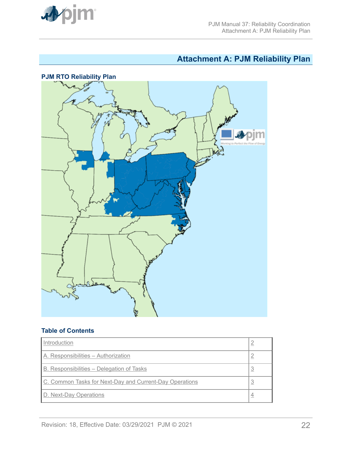<span id="page-21-0"></span>

## **Attachment A: PJM Reliability Plan**



## **Table of Contents**

| Introduction                                            |   |
|---------------------------------------------------------|---|
| A. Responsibilities - Authorization                     |   |
| B. Responsibilities – Delegation of Tasks               | 3 |
| C. Common Tasks for Next-Day and Current-Day Operations | 3 |
| D. Next-Day Operations                                  |   |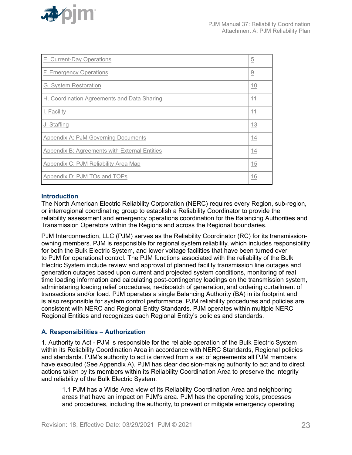<span id="page-22-0"></span>

| E. Current-Day Operations                     | $\overline{5}$ |
|-----------------------------------------------|----------------|
| F. Emergency Operations                       | $\overline{0}$ |
| G. System Restoration                         | 10             |
| H. Coordination Agreements and Data Sharing   | 11             |
| I. Facility                                   | 11             |
| J. Staffing                                   | 13             |
| Appendix A: PJM Governing Documents           | 14             |
| Appendix B: Agreements with External Entities | 14             |
| Appendix C: PJM Reliability Area Map          | 15             |
| Appendix D: PJM TOs and TOPs                  | 16             |

## **Introduction**

The North American Electric Reliability Corporation (NERC) requires every Region, sub-region, or interregional coordinating group to establish a Reliability Coordinator to provide the reliability assessment and emergency operations coordination for the Balancing Authorities and Transmission Operators within the Regions and across the Regional boundaries.

PJM Interconnection, LLC (PJM) serves as the Reliability Coordinator (RC) for its transmissionowning members. PJM is responsible for regional system reliability, which includes responsibility for both the Bulk Electric System, and lower voltage facilities that have been turned over to PJM for operational control. The PJM functions associated with the reliability of the Bulk Electric System include review and approval of planned facility transmission line outages and generation outages based upon current and projected system conditions, monitoring of real time loading information and calculating post-contingency loadings on the transmission system, administering loading relief procedures, re-dispatch of generation, and ordering curtailment of transactions and/or load. PJM operates a single Balancing Authority (BA) in its footprint and is also responsible for system control performance. PJM reliability procedures and policies are consistent with NERC and Regional Entity Standards. PJM operates within multiple NERC Regional Entities and recognizes each Regional Entity's policies and standards.

## **A. Responsibilities – Authorization**

1. Authority to Act - PJM is responsible for the reliable operation of the Bulk Electric System within its Reliability Coordination Area in accordance with NERC Standards, Regional policies and standards. PJM's authority to act is derived from a set of agreements all PJM members have executed (See Appendix A). PJM has clear decision-making authority to act and to direct actions taken by its members within its Reliability Coordination Area to preserve the integrity and reliability of the Bulk Electric System.

1.1 PJM has a Wide Area view of its Reliability Coordination Area and neighboring areas that have an impact on PJM's area. PJM has the operating tools, processes and procedures, including the authority, to prevent or mitigate emergency operating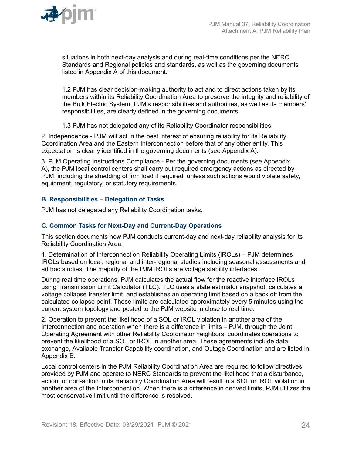<span id="page-23-0"></span>

situations in both next-day analysis and during real-time conditions per the NERC Standards and Regional policies and standards, as well as the governing documents listed in Appendix A of this document.

1.2 PJM has clear decision-making authority to act and to direct actions taken by its members within its Reliability Coordination Area to preserve the integrity and reliability of the Bulk Electric System. PJM's responsibilities and authorities, as well as its members' responsibilities, are clearly defined in the governing documents.

1.3 PJM has not delegated any of its Reliability Coordinator responsibilities.

2. Independence - PJM will act in the best interest of ensuring reliability for its Reliability Coordination Area and the Eastern Interconnection before that of any other entity. This expectation is clearly identified in the governing documents (see Appendix A).

3. PJM Operating Instructions Compliance - Per the governing documents (see Appendix A), the PJM local control centers shall carry out required emergency actions as directed by PJM, including the shedding of firm load if required, unless such actions would violate safety, equipment, regulatory, or statutory requirements.

## **B. Responsibilities – Delegation of Tasks**

PJM has not delegated any Reliability Coordination tasks.

### **C. Common Tasks for Next-Day and Current-Day Operations**

This section documents how PJM conducts current-day and next-day reliability analysis for its Reliability Coordination Area.

1. Determination of Interconnection Reliability Operating Limits (IROLs) – PJM determines IROLs based on local, regional and inter-regional studies including seasonal assessments and ad hoc studies. The majority of the PJM IROLs are voltage stability interfaces.

During real time operations, PJM calculates the actual flow for the reactive interface IROLs using Transmission Limit Calculator (TLC). TLC uses a state estimator snapshot, calculates a voltage collapse transfer limit, and establishes an operating limit based on a back off from the calculated collapse point. These limits are calculated approximately every 5 minutes using the current system topology and posted to the PJM website in close to real time.

2. Operation to prevent the likelihood of a SOL or IROL violation in another area of the Interconnection and operation when there is a difference in limits – PJM, through the Joint Operating Agreement with other Reliability Coordinator neighbors, coordinates operations to prevent the likelihood of a SOL or IROL in another area. These agreements include data exchange, Available Transfer Capability coordination, and Outage Coordination and are listed in Appendix B.

Local control centers in the PJM Reliability Coordination Area are required to follow directives provided by PJM and operate to NERC Standards to prevent the likelihood that a disturbance, action, or non-action in its Reliability Coordination Area will result in a SOL or IROL violation in another area of the Interconnection. When there is a difference in derived limits, PJM utilizes the most conservative limit until the difference is resolved.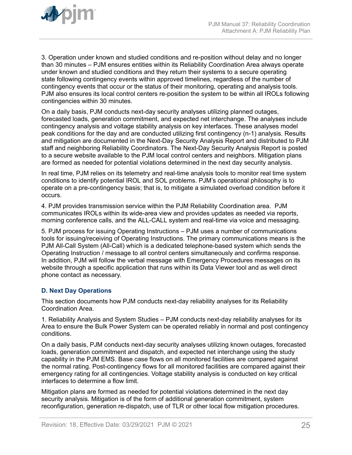<span id="page-24-0"></span>

3. Operation under known and studied conditions and re-position without delay and no longer than 30 minutes – PJM ensures entities within its Reliability Coordination Area always operate under known and studied conditions and they return their systems to a secure operating state following contingency events within approved timelines, regardless of the number of contingency events that occur or the status of their monitoring, operating and analysis tools. PJM also ensures its local control centers re-position the system to be within all IROLs following contingencies within 30 minutes.

On a daily basis, PJM conducts next-day security analyses utilizing planned outages, forecasted loads, generation commitment, and expected net interchange. The analyses include contingency analysis and voltage stability analysis on key interfaces. These analyses model peak conditions for the day and are conducted utilizing first contingency (n-1) analysis. Results and mitigation are documented in the Next-Day Security Analysis Report and distributed to PJM staff and neighboring Reliability Coordinators. The Next-Day Security Analysis Report is posted to a secure website available to the PJM local control centers and neighbors. Mitigation plans are formed as needed for potential violations determined in the next day security analysis.

In real time, PJM relies on its telemetry and real-time analysis tools to monitor real time system conditions to identify potential IROL and SOL problems. PJM's operational philosophy is to operate on a pre-contingency basis; that is, to mitigate a simulated overload condition before it occurs.

4. PJM provides transmission service within the PJM Reliability Coordination area. PJM communicates IROLs within its wide-area view and provides updates as needed via reports, morning conference calls, and the ALL-CALL system and real-time via voice and messaging.

5. PJM process for issuing Operating Instructions – PJM uses a number of communications tools for issuing/receiving of Operating Instructions. The primary communications means is the PJM All-Call System (All-Call) which is a dedicated telephone-based system which sends the Operating Instruction / message to all control centers simultaneously and confirms response. In addition, PJM will follow the verbal message with Emergency Procedures messages on its website through a specific application that runs within its Data Viewer tool and as well direct phone contact as necessary.

## **D. Next Day Operations**

This section documents how PJM conducts next-day reliability analyses for its Reliability Coordination Area.

1. Reliability Analysis and System Studies – PJM conducts next-day reliability analyses for its Area to ensure the Bulk Power System can be operated reliably in normal and post contingency conditions.

On a daily basis, PJM conducts next-day security analyses utilizing known outages, forecasted loads, generation commitment and dispatch, and expected net interchange using the study capability in the PJM EMS. Base case flows on all monitored facilities are compared against the normal rating. Post-contingency flows for all monitored facilities are compared against their emergency rating for all contingencies. Voltage stability analysis is conducted on key critical interfaces to determine a flow limit.

Mitigation plans are formed as needed for potential violations determined in the next day security analysis. Mitigation is of the form of additional generation commitment, system reconfiguration, generation re-dispatch, use of TLR or other local flow mitigation procedures.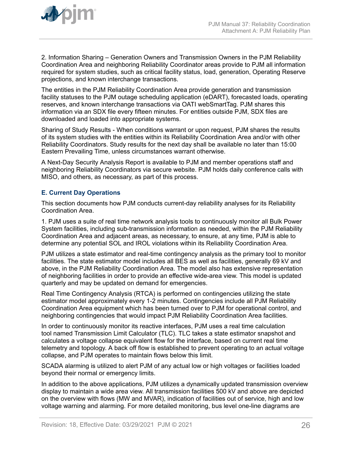<span id="page-25-0"></span>2. Information Sharing – Generation Owners and Transmission Owners in the PJM Reliability Coordination Area and neighboring Reliability Coordinator areas provide to PJM all information required for system studies, such as critical facility status, load, generation, Operating Reserve projections, and known interchange transactions.

The entities in the PJM Reliability Coordination Area provide generation and transmission facility statuses to the PJM outage scheduling application (eDART), forecasted loads, operating reserves, and known interchange transactions via OATI webSmartTag. PJM shares this information via an SDX file every fifteen minutes. For entities outside PJM, SDX files are downloaded and loaded into appropriate systems.

Sharing of Study Results - When conditions warrant or upon request, PJM shares the results of its system studies with the entities within its Reliability Coordination Area and/or with other Reliability Coordinators. Study results for the next day shall be available no later than 15:00 Eastern Prevailing Time, unless circumstances warrant otherwise.

A Next-Day Security Analysis Report is available to PJM and member operations staff and neighboring Reliability Coordinators via secure website. PJM holds daily conference calls with MISO, and others, as necessary, as part of this process.

## **E. Current Day Operations**

This section documents how PJM conducts current-day reliability analyses for its Reliability Coordination Area.

1. PJM uses a suite of real time network analysis tools to continuously monitor all Bulk Power System facilities, including sub-transmission information as needed, within the PJM Reliability Coordination Area and adjacent areas, as necessary, to ensure, at any time, PJM is able to determine any potential SOL and IROL violations within its Reliability Coordination Area.

PJM utilizes a state estimator and real-time contingency analysis as the primary tool to monitor facilities. The state estimator model includes all BES as well as facilities, generally 69 kV and above, in the PJM Reliability Coordination Area. The model also has extensive representation of neighboring facilities in order to provide an effective wide-area view. This model is updated quarterly and may be updated on demand for emergencies.

Real Time Contingency Analysis (RTCA) is performed on contingencies utilizing the state estimator model approximately every 1-2 minutes. Contingencies include all PJM Reliability Coordination Area equipment which has been turned over to PJM for operational control, and neighboring contingencies that would impact PJM Reliability Coordination Area facilities.

In order to continuously monitor its reactive interfaces, PJM uses a real time calculation tool named Transmission Limit Calculator (TLC). TLC takes a state estimator snapshot and calculates a voltage collapse equivalent flow for the interface, based on current real time telemetry and topology. A back off flow is established to prevent operating to an actual voltage collapse, and PJM operates to maintain flows below this limit.

SCADA alarming is utilized to alert PJM of any actual low or high voltages or facilities loaded beyond their normal or emergency limits.

In addition to the above applications, PJM utilizes a dynamically updated transmission overview display to maintain a wide area view. All transmission facilities 500 kV and above are depicted on the overview with flows (MW and MVAR), indication of facilities out of service, high and low voltage warning and alarming. For more detailed monitoring, bus level one-line diagrams are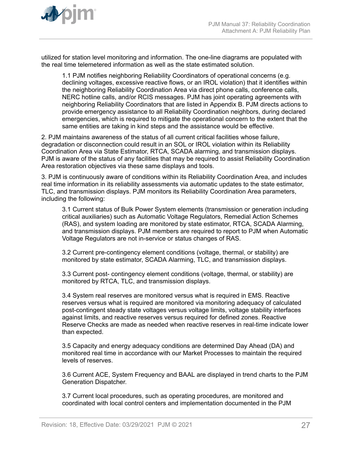

utilized for station level monitoring and information. The one-line diagrams are populated with the real time telemetered information as well as the state estimated solution.

1.1 PJM notifies neighboring Reliability Coordinators of operational concerns (e.g. declining voltages, excessive reactive flows, or an IROL violation) that it identifies within the neighboring Reliability Coordination Area via direct phone calls, conference calls, NERC hotline calls, and/or RCIS messages. PJM has joint operating agreements with neighboring Reliability Coordinators that are listed in Appendix B. PJM directs actions to provide emergency assistance to all Reliability Coordination neighbors, during declared emergencies, which is required to mitigate the operational concern to the extent that the same entities are taking in kind steps and the assistance would be effective.

2. PJM maintains awareness of the status of all current critical facilities whose failure, degradation or disconnection could result in an SOL or IROL violation within its Reliability Coordination Area via State Estimator, RTCA, SCADA alarming, and transmission displays. PJM is aware of the status of any facilities that may be required to assist Reliability Coordination Area restoration objectives via these same displays and tools.

3. PJM is continuously aware of conditions within its Reliability Coordination Area, and includes real time information in its reliability assessments via automatic updates to the state estimator, TLC, and transmission displays. PJM monitors its Reliability Coordination Area parameters, including the following:

3.1 Current status of Bulk Power System elements (transmission or generation including critical auxiliaries) such as Automatic Voltage Regulators, Remedial Action Schemes (RAS), and system loading are monitored by state estimator, RTCA, SCADA Alarming, and transmission displays. PJM members are required to report to PJM when Automatic Voltage Regulators are not in-service or status changes of RAS.

3.2 Current pre-contingency element conditions (voltage, thermal, or stability) are monitored by state estimator, SCADA Alarming, TLC, and transmission displays.

3.3 Current post- contingency element conditions (voltage, thermal, or stability) are monitored by RTCA, TLC, and transmission displays.

3.4 System real reserves are monitored versus what is required in EMS. Reactive reserves versus what is required are monitored via monitoring adequacy of calculated post-contingent steady state voltages versus voltage limits, voltage stability interfaces against limits, and reactive reserves versus required for defined zones. Reactive Reserve Checks are made as needed when reactive reserves in real-time indicate lower than expected.

3.5 Capacity and energy adequacy conditions are determined Day Ahead (DA) and monitored real time in accordance with our Market Processes to maintain the required levels of reserves.

3.6 Current ACE, System Frequency and BAAL are displayed in trend charts to the PJM Generation Dispatcher.

3.7 Current local procedures, such as operating procedures, are monitored and coordinated with local control centers and implementation documented in the PJM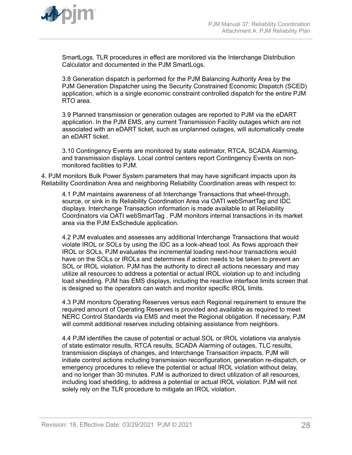

SmartLogs. TLR procedures in effect are monitored via the Interchange Distribution Calculator and documented in the PJM SmartLogs.

3.8 Generation dispatch is performed for the PJM Balancing Authority Area by the PJM Generation Dispatcher using the Security Constrained Economic Dispatch (SCED) application, which is a single economic constraint controlled dispatch for the entire PJM RTO area.

3.9 Planned transmission or generation outages are reported to PJM via the eDART application. In the PJM EMS, any current Transmission Facility outages which are not associated with an eDART ticket, such as unplanned outages, will automatically create an eDART ticket.

3.10 Contingency Events are monitored by state estimator, RTCA, SCADA Alarming, and transmission displays. Local control centers report Contingency Events on nonmonitored facilities to PJM.

4. PJM monitors Bulk Power System parameters that may have significant impacts upon its Reliability Coordination Area and neighboring Reliability Coordination areas with respect to:

4.1 PJM maintains awareness of all Interchange Transactions that wheel-through, source, or sink in its Reliability Coordination Area via OATI webSmartTag and IDC displays. Interchange Transaction information is made available to all Reliability Coordinators via OATI webSmartTag . PJM monitors internal transactions in its market area via the PJM ExSchedule application.

4.2 PJM evaluates and assesses any additional Interchange Transactions that would violate IROL or SOLs by using the IDC as a look-ahead tool. As flows approach their IROL or SOLs, PJM evaluates the incremental loading next-hour transactions would have on the SOLs or IROLs and determines if action needs to be taken to prevent an SOL or IROL violation. PJM has the authority to direct all actions necessary and may utilize all resources to address a potential or actual IROL violation up to and including load shedding. PJM has EMS displays, including the reactive interface limits screen that is designed so the operators can watch and monitor specific IROL limits.

4.3 PJM monitors Operating Reserves versus each Regional requirement to ensure the required amount of Operating Reserves is provided and available as required to meet NERC Control Standards via EMS and meet the Regional obligation. If necessary, PJM will commit additional reserves including obtaining assistance from neighbors.

4.4 PJM identifies the cause of potential or actual SOL or IROL violations via analysis of state estimator results, RTCA results, SCADA Alarming of outages, TLC results, transmission displays of changes, and Interchange Transaction impacts. PJM will initiate control actions including transmission reconfiguration, generation re-dispatch, or emergency procedures to relieve the potential or actual IROL violation without delay, and no longer than 30 minutes. PJM is authorized to direct utilization of all resources, including load shedding, to address a potential or actual IROL violation. PJM will not solely rely on the TLR procedure to mitigate an IROL violation.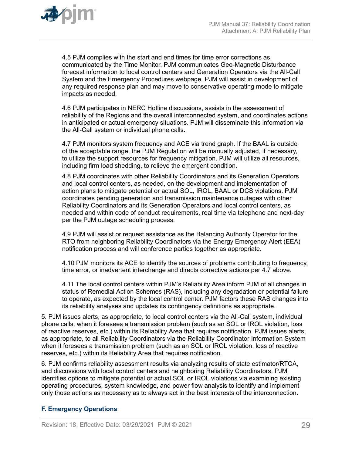<span id="page-28-0"></span>

4.5 PJM complies with the start and end times for time error corrections as communicated by the Time Monitor. PJM communicates Geo-Magnetic Disturbance forecast information to local control centers and Generation Operators via the All-Call System and the Emergency Procedures webpage. PJM will assist in development of any required response plan and may move to conservative operating mode to mitigate impacts as needed.

4.6 PJM participates in NERC Hotline discussions, assists in the assessment of reliability of the Regions and the overall interconnected system, and coordinates actions in anticipated or actual emergency situations. PJM will disseminate this information via the All-Call system or individual phone calls.

4.7 PJM monitors system frequency and ACE via trend graph. If the BAAL is outside of the acceptable range, the PJM Regulation will be manually adjusted, if necessary, to utilize the support resources for frequency mitigation. PJM will utilize all resources, including firm load shedding, to relieve the emergent condition.

4.8 PJM coordinates with other Reliability Coordinators and its Generation Operators and local control centers, as needed, on the development and implementation of action plans to mitigate potential or actual SOL, IROL, BAAL or DCS violations. PJM coordinates pending generation and transmission maintenance outages with other Reliability Coordinators and its Generation Operators and local control centers, as needed and within code of conduct requirements, real time via telephone and next-day per the PJM outage scheduling process.

4.9 PJM will assist or request assistance as the Balancing Authority Operator for the RTO from neighboring Reliability Coordinators via the Energy Emergency Alert (EEA) notification process and will conference parties together as appropriate.

4.10 PJM monitors its ACE to identify the sources of problems contributing to frequency, time error, or inadvertent interchange and directs corrective actions per 4.7 above.

4.11 The local control centers within PJM's Reliability Area inform PJM of all changes in status of Remedial Action Schemes (RAS), including any degradation or potential failure to operate, as expected by the local control center. PJM factors these RAS changes into its reliability analyses and updates its contingency definitions as appropriate.

5. PJM issues alerts, as appropriate, to local control centers via the All-Call system, individual phone calls, when it foresees a transmission problem (such as an SOL or IROL violation, loss of reactive reserves, etc.) within its Reliability Area that requires notification. PJM issues alerts, as appropriate, to all Reliability Coordinators via the Reliability Coordinator Information System when it foresees a transmission problem (such as an SOL or IROL violation, loss of reactive reserves, etc.) within its Reliability Area that requires notification.

6. PJM confirms reliability assessment results via analyzing results of state estimator/RTCA, and discussions with local control centers and neighboring Reliability Coordinators. PJM identifies options to mitigate potential or actual SOL or IROL violations via examining existing operating procedures, system knowledge, and power flow analysis to identify and implement only those actions as necessary as to always act in the best interests of the interconnection.

## **F. Emergency Operations**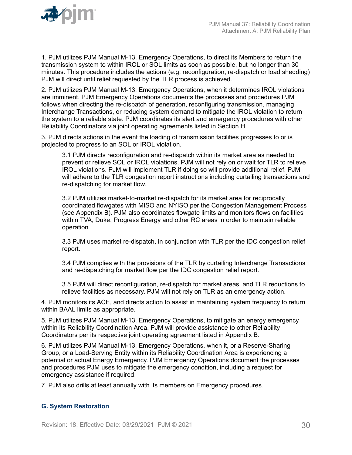<span id="page-29-0"></span>

1. PJM utilizes PJM Manual M-13, Emergency Operations, to direct its Members to return the transmission system to within IROL or SOL limits as soon as possible, but no longer than 30 minutes. This procedure includes the actions (e.g. reconfiguration, re-dispatch or load shedding) PJM will direct until relief requested by the TLR process is achieved.

2. PJM utilizes PJM Manual M-13, Emergency Operations, when it determines IROL violations are imminent. PJM Emergency Operations documents the processes and procedures PJM follows when directing the re-dispatch of generation, reconfiguring transmission, managing Interchange Transactions, or reducing system demand to mitigate the IROL violation to return the system to a reliable state. PJM coordinates its alert and emergency procedures with other Reliability Coordinators via joint operating agreements listed in Section H.

3. PJM directs actions in the event the loading of transmission facilities progresses to or is projected to progress to an SOL or IROL violation.

3.1 PJM directs reconfiguration and re-dispatch within its market area as needed to prevent or relieve SOL or IROL violations. PJM will not rely on or wait for TLR to relieve IROL violations. PJM will implement TLR if doing so will provide additional relief. PJM will adhere to the TLR congestion report instructions including curtailing transactions and re-dispatching for market flow.

3.2 PJM utilizes market-to-market re-dispatch for its market area for reciprocally coordinated flowgates with MISO and NYISO per the Congestion Management Process (see Appendix B). PJM also coordinates flowgate limits and monitors flows on facilities within TVA, Duke, Progress Energy and other RC areas in order to maintain reliable operation.

3.3 PJM uses market re-dispatch, in conjunction with TLR per the IDC congestion relief report.

3.4 PJM complies with the provisions of the TLR by curtailing Interchange Transactions and re-dispatching for market flow per the IDC congestion relief report.

3.5 PJM will direct reconfiguration, re-dispatch for market areas, and TLR reductions to relieve facilities as necessary. PJM will not rely on TLR as an emergency action.

4. PJM monitors its ACE, and directs action to assist in maintaining system frequency to return within BAAL limits as appropriate.

5. PJM utilizes PJM Manual M-13, Emergency Operations, to mitigate an energy emergency within its Reliability Coordination Area. PJM will provide assistance to other Reliability Coordinators per its respective joint operating agreement listed in Appendix B.

6. PJM utilizes PJM Manual M-13, Emergency Operations, when it, or a Reserve-Sharing Group, or a Load-Serving Entity within its Reliability Coordination Area is experiencing a potential or actual Energy Emergency. PJM Emergency Operations document the processes and procedures PJM uses to mitigate the emergency condition, including a request for emergency assistance if required.

7. PJM also drills at least annually with its members on Emergency procedures.

## **G. System Restoration**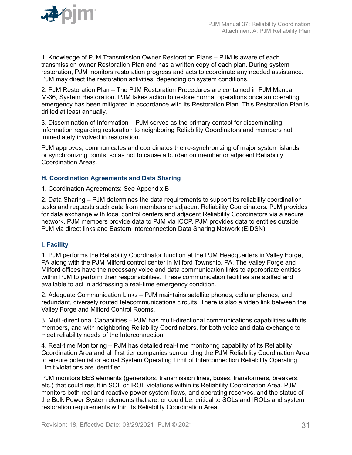<span id="page-30-0"></span>

1. Knowledge of PJM Transmission Owner Restoration Plans – PJM is aware of each transmission owner Restoration Plan and has a written copy of each plan. During system restoration, PJM monitors restoration progress and acts to coordinate any needed assistance. PJM may direct the restoration activities, depending on system conditions.

2. PJM Restoration Plan – The PJM Restoration Procedures are contained in PJM Manual M-36, System Restoration. PJM takes action to restore normal operations once an operating emergency has been mitigated in accordance with its Restoration Plan. This Restoration Plan is drilled at least annually.

3. Dissemination of Information – PJM serves as the primary contact for disseminating information regarding restoration to neighboring Reliability Coordinators and members not immediately involved in restoration.

PJM approves, communicates and coordinates the re-synchronizing of major system islands or synchronizing points, so as not to cause a burden on member or adjacent Reliability Coordination Areas.

## **H. Coordination Agreements and Data Sharing**

#### 1. Coordination Agreements: See Appendix B

2. Data Sharing – PJM determines the data requirements to support its reliability coordination tasks and requests such data from members or adjacent Reliability Coordinators. PJM provides for data exchange with local control centers and adjacent Reliability Coordinators via a secure network. PJM members provide data to PJM via ICCP. PJM provides data to entities outside PJM via direct links and Eastern Interconnection Data Sharing Network (EIDSN).

## **I. Facility**

1. PJM performs the Reliability Coordinator function at the PJM Headquarters in Valley Forge, PA along with the PJM Milford control center in Milford Township, PA. The Valley Forge and Milford offices have the necessary voice and data communication links to appropriate entities within PJM to perform their responsibilities. These communication facilities are staffed and available to act in addressing a real-time emergency condition.

2. Adequate Communication Links – PJM maintains satellite phones, cellular phones, and redundant, diversely routed telecommunications circuits. There is also a video link between the Valley Forge and Milford Control Rooms.

3. Multi-directional Capabilities – PJM has multi-directional communications capabilities with its members, and with neighboring Reliability Coordinators, for both voice and data exchange to meet reliability needs of the Interconnection.

4. Real-time Monitoring – PJM has detailed real-time monitoring capability of its Reliability Coordination Area and all first tier companies surrounding the PJM Reliability Coordination Area to ensure potential or actual System Operating Limit of Interconnection Reliability Operating Limit violations are identified.

PJM monitors BES elements (generators, transmission lines, buses, transformers, breakers, etc.) that could result in SOL or IROL violations within its Reliability Coordination Area. PJM monitors both real and reactive power system flows, and operating reserves, and the status of the Bulk Power System elements that are, or could be, critical to SOLs and IROLs and system restoration requirements within its Reliability Coordination Area.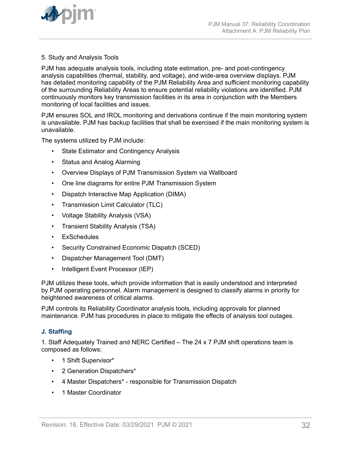<span id="page-31-0"></span>

### 5. Study and Analysis Tools

PJM has adequate analysis tools, including state estimation, pre- and post-contingency analysis capabilities (thermal, stability, and voltage), and wide-area overview displays. PJM has detailed monitoring capability of the PJM Reliability Area and sufficient monitoring capability of the surrounding Reliability Areas to ensure potential reliability violations are identified. PJM continuously monitors key transmission facilities in its area in conjunction with the Members monitoring of local facilities and issues.

PJM ensures SOL and IROL monitoring and derivations continue if the main monitoring system is unavailable. PJM has backup facilities that shall be exercised if the main monitoring system is unavailable.

The systems utilized by PJM include:

- State Estimator and Contingency Analysis
- Status and Analog Alarming
- Overview Displays of PJM Transmission System via Wallboard
- One line diagrams for entire PJM Transmission System
- Dispatch Interactive Map Application (DIMA)
- Transmission Limit Calculator (TLC)
- Voltage Stability Analysis (VSA)
- Transient Stability Analysis (TSA)
- ExSchedules
- Security Constrained Economic Dispatch (SCED)
- Dispatcher Management Tool (DMT)
- Intelligent Event Processor (IEP)

PJM utilizes these tools, which provide information that is easily understood and interpreted by PJM operating personnel. Alarm management is designed to classify alarms in priority for heightened awareness of critical alarms.

PJM controls its Reliability Coordinator analysis tools, including approvals for planned maintenance. PJM has procedures in place to mitigate the effects of analysis tool outages.

### **J. Staffing**

1. Staff Adequately Trained and NERC Certified – The 24 x 7 PJM shift operations team is composed as follows:

- 1 Shift Supervisor\*
- 2 Generation Dispatchers\*
- 4 Master Dispatchers\* responsible for Transmission Dispatch
- 1 Master Coordinator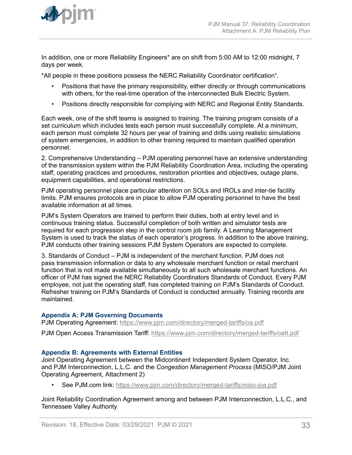<span id="page-32-0"></span>

In addition, one or more Reliability Engineers\* are on shift from 5:00 AM to 12:00 midnight, 7 days per week.

\*All people in these positions possess the NERC Reliability Coordinator certification<sup>1</sup>.

- Positions that have the primary responsibility, either directly or through communications with others, for the real-time operation of the interconnected Bulk Electric System.
- Positions directly responsible for complying with NERC and Regional Entity Standards.

Each week, one of the shift teams is assigned to training. The training program consists of a set curriculum which includes tests each person must successfully complete. At a minimum, each person must complete 32 hours per year of training and drills using realistic simulations of system emergencies, in addition to other training required to maintain qualified operation personnel.

2. Comprehensive Understanding – PJM operating personnel have an extensive understanding of the transmission system within the PJM Reliability Coordination Area, including the operating staff, operating practices and procedures, restoration priorities and objectives, outage plans, equipment capabilities, and operational restrictions.

PJM operating personnel place particular attention on SOLs and IROLs and inter-tie facility limits. PJM ensures protocols are in place to allow PJM operating personnel to have the best available information at all times.

PJM's System Operators are trained to perform their duties, both at entry level and in continuous training status. Successful completion of both written and simulator tests are required for each progression step in the control room job family. A Learning Management System is used to track the status of each operator's progress. In addition to the above training, PJM conducts other training sessions PJM System Operators are expected to complete.

3. Standards of Conduct – PJM is independent of the merchant function. PJM does not pass transmission information or data to any wholesale merchant function or retail merchant function that is not made available simultaneously to all such wholesale merchant functions. An officer of PJM has signed the NERC Reliability Coordinators Standards of Conduct. Every PJM employee, not just the operating staff, has completed training on PJM's Standards of Conduct. Refresher training on PJM's Standards of Conduct is conducted annually. Training records are maintained.

## **Appendix A: PJM Governing Documents**

PJM Operating Agreement:<https://www.pjm.com/directory/merged-tariffs/oa.pdf>

PJM Open Access Transmission Tariff:<https://www.pjm.com/directory/merged-tariffs/oatt.pdf>

### **Appendix B: Agreements with External Entities**

Joint Operating Agreement between the Midcontinent Independent System Operator, Inc. and PJM Interconnection, L.L.C. and the *Congestion Management Process* (MISO/PJM Joint Operating Agreement, Attachment 2)

• See PJM.com link: <https://www.pjm.com/directory/merged-tariffs/miso-joa.pdf>

Joint Reliability Coordination Agreement among and between PJM Interconnection, L.L.C., and Tennessee Valley Authority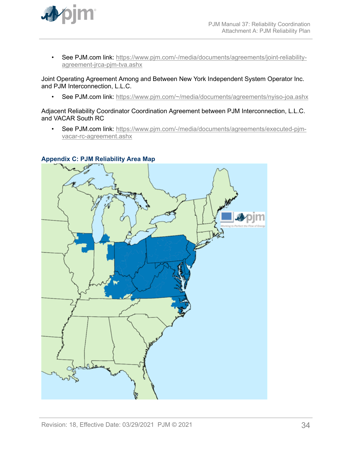<span id="page-33-0"></span>

• See PJM.com link: [https://www.pjm.com/-/media/documents/agreements/joint-reliability](https://www.pjm.com/-/media/documents/agreements/joint-reliability-agreement-jrca-pjm-tva.ashx)[agreement-jrca-pjm-tva.ashx](https://www.pjm.com/-/media/documents/agreements/joint-reliability-agreement-jrca-pjm-tva.ashx)

Joint Operating Agreement Among and Between New York Independent System Operator Inc. and PJM Interconnection, L.L.C.

• See PJM.com link: <https://www.pjm.com/~/media/documents/agreements/nyiso-joa.ashx>

Adjacent Reliability Coordinator Coordination Agreement between PJM Interconnection, L.L.C. and VACAR South RC

• See PJM.com link: [https://www.pjm.com/-/media/documents/agreements/executed-pjm](https://www.pjm.com/-/media/documents/agreements/executed-pjm-vacar-rc-agreement.ashx)[vacar-rc-agreement.ashx](https://www.pjm.com/-/media/documents/agreements/executed-pjm-vacar-rc-agreement.ashx)

## **Appendix C: PJM Reliability Area Map**

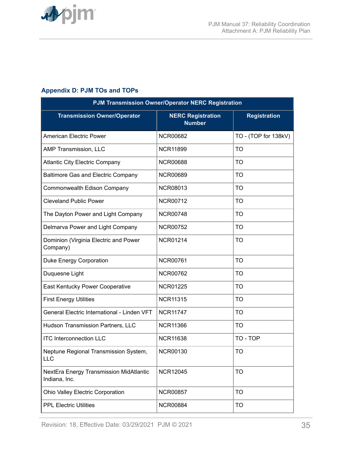<span id="page-34-0"></span>

## **Appendix D: PJM TOs and TOPs**

| <b>PJM Transmission Owner/Operator NERC Registration</b> |                                           |                      |  |  |
|----------------------------------------------------------|-------------------------------------------|----------------------|--|--|
| <b>Transmission Owner/Operator</b>                       | <b>NERC Registration</b><br><b>Number</b> | <b>Registration</b>  |  |  |
| <b>American Electric Power</b>                           | <b>NCR00682</b>                           | TO - (TOP for 138kV) |  |  |
| AMP Transmission, LLC                                    | <b>NCR11899</b>                           | <b>TO</b>            |  |  |
| <b>Atlantic City Electric Company</b>                    | <b>NCR00688</b>                           | TO                   |  |  |
| <b>Baltimore Gas and Electric Company</b>                | <b>NCR00689</b>                           | <b>TO</b>            |  |  |
| Commonwealth Edison Company                              | <b>NCR08013</b>                           | <b>TO</b>            |  |  |
| <b>Cleveland Public Power</b>                            | <b>NCR00712</b>                           | <b>TO</b>            |  |  |
| The Dayton Power and Light Company                       | <b>NCR00748</b>                           | <b>TO</b>            |  |  |
| Delmarva Power and Light Company                         | <b>NCR00752</b>                           | <b>TO</b>            |  |  |
| Dominion (Virginia Electric and Power<br>Company)        | <b>NCR01214</b>                           | <b>TO</b>            |  |  |
| <b>Duke Energy Corporation</b>                           | <b>NCR00761</b>                           | <b>TO</b>            |  |  |
| Duquesne Light                                           | <b>TO</b><br><b>NCR00762</b>              |                      |  |  |
| East Kentucky Power Cooperative                          | <b>NCR01225</b>                           | <b>TO</b>            |  |  |
| <b>First Energy Utilities</b>                            | <b>NCR11315</b>                           | <b>TO</b>            |  |  |
| General Electric International - Linden VFT              | <b>NCR11747</b>                           | <b>TO</b>            |  |  |
| Hudson Transmission Partners, LLC                        | <b>NCR11366</b>                           | <b>TO</b>            |  |  |
| <b>ITC Interconnection LLC</b>                           | <b>NCR11638</b>                           | TO - TOP             |  |  |
| Neptune Regional Transmission System,<br><b>LLC</b>      | <b>NCR00130</b>                           | <b>TO</b>            |  |  |
| NextEra Energy Transmission MidAtlantic<br>Indiana, Inc. | <b>NCR12045</b>                           | <b>TO</b>            |  |  |
| Ohio Valley Electric Corporation                         | <b>NCR00857</b>                           | <b>TO</b>            |  |  |
| <b>PPL Electric Utilities</b>                            | <b>NCR00884</b>                           | TO                   |  |  |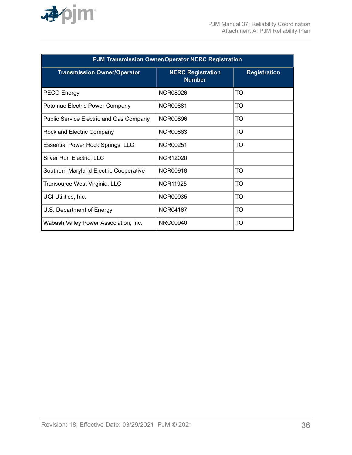

| <b>PJM Transmission Owner/Operator NERC Registration</b> |                                           |                     |  |  |
|----------------------------------------------------------|-------------------------------------------|---------------------|--|--|
| <b>Transmission Owner/Operator</b>                       | <b>NERC Registration</b><br><b>Number</b> | <b>Registration</b> |  |  |
| <b>PECO Energy</b>                                       | <b>NCR08026</b>                           | TO                  |  |  |
| Potomac Electric Power Company                           | <b>NCR00881</b>                           | TO                  |  |  |
| <b>Public Service Electric and Gas Company</b>           | NCR00896                                  | TΟ                  |  |  |
| <b>Rockland Electric Company</b>                         | NCR00863                                  | <b>TO</b>           |  |  |
| <b>Essential Power Rock Springs, LLC</b>                 | NCR00251                                  | <b>TO</b>           |  |  |
| Silver Run Electric, LLC                                 | NCR12020                                  |                     |  |  |
| Southern Maryland Electric Cooperative                   | <b>NCR00918</b>                           | TO                  |  |  |
| Transource West Virginia, LLC                            | <b>NCR11925</b>                           | <b>TO</b>           |  |  |
| UGI Utilities, Inc.                                      | <b>NCR00935</b>                           | <b>TO</b>           |  |  |
| U.S. Department of Energy                                | NCR04167                                  | TO                  |  |  |
| Wabash Valley Power Association, Inc.                    | NRC00940                                  | TO                  |  |  |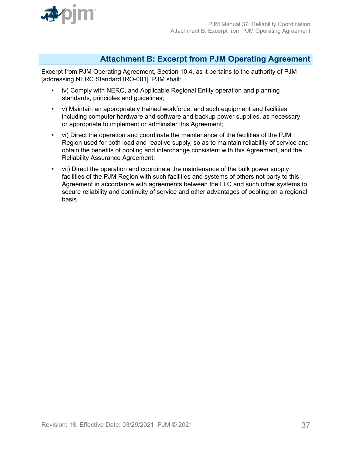<span id="page-36-0"></span>

## **Attachment B: Excerpt from PJM Operating Agreement**

Excerpt from PJM Operating Agreement, Section 10.4, as it pertains to the authority of PJM [addressing NERC Standard IRO-001]. PJM shall:

- iv) Comply with NERC, and Applicable Regional Entity operation and planning standards, principles and guidelines;
- v) Maintain an appropriately trained workforce, and such equipment and facilities, including computer hardware and software and backup power supplies, as necessary or appropriate to implement or administer this Agreement;
- vi) Direct the operation and coordinate the maintenance of the facilities of the PJM Region used for both load and reactive supply, so as to maintain reliability of service and obtain the benefits of pooling and interchange consistent with this Agreement, and the Reliability Assurance Agreement;
- vii) Direct the operation and coordinate the maintenance of the bulk power supply facilities of the PJM Region with such facilities and systems of others not party to this Agreement in accordance with agreements between the LLC and such other systems to secure reliability and continuity of service and other advantages of pooling on a regional basis.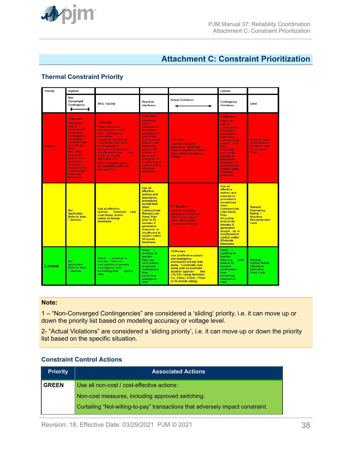<span id="page-37-0"></span>

## **Attachment C: Constraint Prioritization**

## **Thermal Constraint Priority**

| Priority       | Highest                                                                                                                                                                                                                                                                                                                |                                                                                                                                                                                                                                                                                                                                                                  |                                                                                                                                                                                                                                                                                                        |                                                                                                                                                                                                                                                                     | Lowest                                                                                                                                                                                                                                                                                                |                                                                                                   |
|----------------|------------------------------------------------------------------------------------------------------------------------------------------------------------------------------------------------------------------------------------------------------------------------------------------------------------------------|------------------------------------------------------------------------------------------------------------------------------------------------------------------------------------------------------------------------------------------------------------------------------------------------------------------------------------------------------------------|--------------------------------------------------------------------------------------------------------------------------------------------------------------------------------------------------------------------------------------------------------------------------------------------------------|---------------------------------------------------------------------------------------------------------------------------------------------------------------------------------------------------------------------------------------------------------------------|-------------------------------------------------------------------------------------------------------------------------------------------------------------------------------------------------------------------------------------------------------------------------------------------------------|---------------------------------------------------------------------------------------------------|
|                | Non<br>Converged<br>Contingency                                                                                                                                                                                                                                                                                        | <b>IROL Facility</b>                                                                                                                                                                                                                                                                                                                                             | Reactive<br>Interfaces                                                                                                                                                                                                                                                                                 | <b>Actual Violations</b>                                                                                                                                                                                                                                            | Contingency<br>Violations                                                                                                                                                                                                                                                                             | Limit                                                                                             |
| <b>Highest</b> | <b>15 Minutes</b><br><b>Shed load</b><br>only if<br>necessary to<br>avoid post<br><b>College</b><br>contingency<br>cascading.<br>Communicate<br><b>Load Dump</b><br>Plan:<br>(PCLLRW)<br>prior to 30<br>minut es if<br><b>generation</b><br>response is<br>insufficient to<br>control within<br>30 minute<br>timeframe | <b>15 Minutes</b><br><b>Shed load only if</b><br>necessary to avoid<br>post -contingency<br>cascading.<br><b>Communicate Manual</b><br><b>Load Dump Plan prior</b><br>to 30 minutes if<br>generation response is<br>insufficient to con<br>trol<br>within 30 minute<br>timeframe (Tv)<br><b>IROL Violations must</b><br>be controlled within 30<br>minutes (Tv). | <b>15 Minutes</b><br><b>Shed load</b><br>only if<br>necessary to<br>avoid post -<br>contingency<br>cascading.<br>Communicate<br><b>Manual Load</b><br><b>Dump Plan</b><br>prior to 30<br>minutes if<br><b>generation</b><br>response is<br>insufficient to<br>control within<br>30 minute<br>timeframe | <b>5 Minutes</b><br><b>Load All available</b><br>generation. Shed load<br>within 5 minutes to return<br>flows within Emergency<br>Ratings.                                                                                                                          | <b>30 Minutes</b><br><b>Shed load</b><br>only if<br>necessary to<br>avoid post -<br><b>contingency</b><br>cascading.<br>Communicate<br>Load D ump<br><b>Plan</b><br>(PCLLRW)<br>prior to 60<br>minutes if<br>generation<br>response is<br>insufficient to<br>control within<br>60 minute<br>timeframe | Thermal Load<br><b>Dump Rating /</b><br><b>Reactive Last</b><br><b>Convergent</b><br><b>Point</b> |
|                | <b>Not</b><br>Applicable.<br><b>Refer to Note</b><br>1 (below).                                                                                                                                                                                                                                                        | <b>Use all effective</b><br>actions. Communi cate<br><b>Load Dump Action</b><br>within 30 minute<br>timeframe.                                                                                                                                                                                                                                                   | Use all<br>effective<br>actions and<br>emergency<br>procedures<br>except load<br>shed.<br>Communicate<br><b>Manual Load</b><br><b>Dump Plan</b><br>prior to 30<br>minutes if<br>qeneration<br>response is<br>insufficient to<br>control within<br>30 minute<br>timeframe                               | <b>15 Minutes</b><br><b>Load All available</b><br>generation. Shed load<br>within 15 minutes to<br>return flows within<br><b>Emergency Ratings.</b>                                                                                                                 | <b>Use all</b><br>effective<br>actions and<br>emergency<br><b>procedures</b><br>except load<br>shed.<br>Communicate<br><b>Load Dump</b><br>Plan<br><b>IPCLLRWI</b><br>prior to 60<br>minutes if<br><b>generation</b><br>respon se is<br>insufficient to<br>control within<br>60 minute<br>timeframe   | <b>Thermal</b><br><b>Emergency</b><br>Rating /<br>Reactive<br>Recommended<br>Limit                |
| Lowest         | <b>Not</b><br>Applicable.<br><b>Refer to Note</b><br>1 (below).                                                                                                                                                                                                                                                        | $Trend - continue to$<br>monitor. Take non<br>cost actions to prevent<br>contingency from<br>exceeding eme<br>rgency<br>limit.                                                                                                                                                                                                                                   | $Trend -$<br>continue to<br>monitor.<br>Take non -<br>cost actions<br>to prevent<br>contingency<br>from<br>exceeding<br>emergency<br>limit.                                                                                                                                                            | <b>15 Minutes</b><br>Use all effective actions<br>and emergency<br>procedures except load<br>dump. Coordinate load<br>dump plan as overload<br>duration approac<br>hed<br><b>LTE/STE</b> rating definition<br>(i.e. 4 hour, 2 hour, 1 hour<br>or 30 minute rating). | $Trend -$<br>continue to<br>monitor.<br>Take non<br>-cost<br>actions to<br>prevent<br>contingency<br>from<br>exceeding<br>emergency<br>limit.                                                                                                                                                         | <b>Thermal</b><br><b>Normal Rating</b><br>/ Reactive<br><b>Operating</b><br><b>Point Limit</b>    |

### **Note:**

1 – "Non-Converged Contingencies" are considered a 'sliding' priority, i.e. it can move up or down the priority list based on modeling accuracy or voltage level.

2- "Actual Violations" are considered a 'sliding priority', i.e. it can move up or down the priority list based on the specific situation.

### **Constraint Control Actions**

| <b>Priority</b> | <b>Associated Actions</b>                                                      |  |
|-----------------|--------------------------------------------------------------------------------|--|
| <b>GREEN</b>    | Use all non-cost / cost-effective actions:                                     |  |
|                 | Non-cost measures, including approved switching.                               |  |
|                 | Curtailing "Not-willing-to-pay" transactions that adversely impact constraint. |  |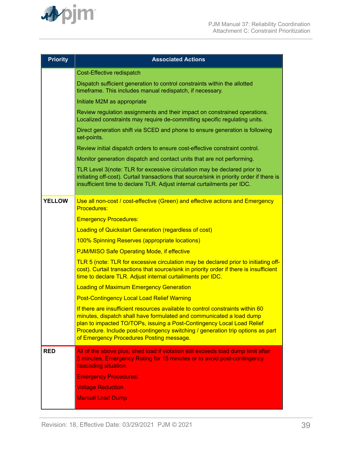

| <b>Priority</b> | <b>Associated Actions</b>                                                                                                                                                                                                                                                                                                                                       |  |  |  |  |  |
|-----------------|-----------------------------------------------------------------------------------------------------------------------------------------------------------------------------------------------------------------------------------------------------------------------------------------------------------------------------------------------------------------|--|--|--|--|--|
|                 | Cost-Effective redispatch                                                                                                                                                                                                                                                                                                                                       |  |  |  |  |  |
|                 | Dispatch sufficient generation to control constraints within the allotted<br>timeframe. This includes manual redispatch, if necessary.                                                                                                                                                                                                                          |  |  |  |  |  |
|                 | Initiate M2M as appropriate                                                                                                                                                                                                                                                                                                                                     |  |  |  |  |  |
|                 | Review regulation assignments and their impact on constrained operations.<br>Localized constraints may require de-committing specific regulating units.                                                                                                                                                                                                         |  |  |  |  |  |
|                 | Direct generation shift via SCED and phone to ensure generation is following<br>set-points.                                                                                                                                                                                                                                                                     |  |  |  |  |  |
|                 | Review initial dispatch orders to ensure cost-effective constraint control.                                                                                                                                                                                                                                                                                     |  |  |  |  |  |
|                 | Monitor generation dispatch and contact units that are not performing.                                                                                                                                                                                                                                                                                          |  |  |  |  |  |
|                 | TLR Level 3(note: TLR for excessive circulation may be declared prior to<br>initiating off-cost). Curtail transactions that source/sink in priority order if there is<br>insufficient time to declare TLR. Adjust internal curtailments per IDC.                                                                                                                |  |  |  |  |  |
| <b>YELLOW</b>   | Use all non-cost / cost-effective (Green) and effective actions and Emergency<br><b>Procedures:</b>                                                                                                                                                                                                                                                             |  |  |  |  |  |
|                 | <b>Emergency Procedures:</b>                                                                                                                                                                                                                                                                                                                                    |  |  |  |  |  |
|                 | <b>Loading of Quickstart Generation (regardless of cost)</b>                                                                                                                                                                                                                                                                                                    |  |  |  |  |  |
|                 | 100% Spinning Reserves (appropriate locations)                                                                                                                                                                                                                                                                                                                  |  |  |  |  |  |
|                 | <b>PJM/MISO Safe Operating Mode, if effective</b>                                                                                                                                                                                                                                                                                                               |  |  |  |  |  |
|                 | TLR 5 (note: TLR for excessive circulation may be declared prior to initiating off-<br>cost). Curtail transactions that source/sink in priority order if there is insufficient<br>time to declare TLR. Adjust internal curtailments per IDC.                                                                                                                    |  |  |  |  |  |
|                 | <b>Loading of Maximum Emergency Generation</b>                                                                                                                                                                                                                                                                                                                  |  |  |  |  |  |
|                 | <b>Post-Contingency Local Load Relief Warning</b>                                                                                                                                                                                                                                                                                                               |  |  |  |  |  |
|                 | If there are insufficient resources available to control constraints within 60<br>minutes, dispatch shall have formulated and communicated a load dump<br>plan to impacted TO/TOPs, issuing a Post-Contingency Local Load Relief<br>Procedure. Include post-contingency switching / generation trip options as part<br>of Emergency Procedures Posting message. |  |  |  |  |  |
| <b>RED</b>      | All of the above plus, shed load if violation still exceeds load dump limit after<br>5 minutes, Emergency Rating for 15 minutes or to avoid post-contingency<br>cascading situation.                                                                                                                                                                            |  |  |  |  |  |
|                 | <b>Emergency Procedures:</b>                                                                                                                                                                                                                                                                                                                                    |  |  |  |  |  |
|                 | <b>Voltage Reduction</b>                                                                                                                                                                                                                                                                                                                                        |  |  |  |  |  |
|                 | <b>Manual Load Dump</b>                                                                                                                                                                                                                                                                                                                                         |  |  |  |  |  |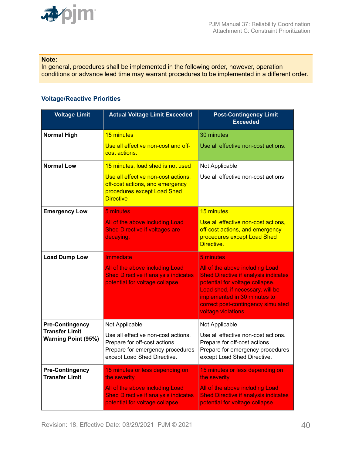

#### **Note:**

In general, procedures shall be implemented in the following order, however, operation conditions or advance lead time may warrant procedures to be implemented in a different order.

## **Voltage/Reactive Priorities**

| <b>Voltage Limit</b>                                | <b>Actual Voltage Limit Exceeded</b>                                                                                                    | <b>Post-Contingency Limit</b><br><b>Exceeded</b>                                                                                                                                                                                                   |
|-----------------------------------------------------|-----------------------------------------------------------------------------------------------------------------------------------------|----------------------------------------------------------------------------------------------------------------------------------------------------------------------------------------------------------------------------------------------------|
| <b>Normal High</b>                                  | 15 minutes                                                                                                                              | 30 minutes                                                                                                                                                                                                                                         |
|                                                     | Use all effective non-cost and off-<br>cost actions.                                                                                    | Use all effective non-cost actions.                                                                                                                                                                                                                |
| <b>Normal Low</b>                                   | 15 minutes, load shed is not used                                                                                                       | Not Applicable                                                                                                                                                                                                                                     |
|                                                     | Use all effective non-cost actions,<br>off-cost actions, and emergency<br>procedures except Load Shed<br><b>Directive</b>               | Use all effective non-cost actions                                                                                                                                                                                                                 |
| <b>Emergency Low</b>                                | 5 minutes                                                                                                                               | 15 minutes                                                                                                                                                                                                                                         |
|                                                     | All of the above including Load<br><b>Shed Directive if voltages are</b><br>decaying.                                                   | Use all effective non-cost actions,<br>off-cost actions, and emergency<br>procedures except Load Shed<br>Directive.                                                                                                                                |
| <b>Load Dump Low</b>                                | Immediate                                                                                                                               | 5 minutes                                                                                                                                                                                                                                          |
|                                                     | All of the above including Load<br><b>Shed Directive if analysis indicates</b><br>potential for voltage collapse.                       | All of the above including Load<br><b>Shed Directive if analysis indicates</b><br>potential for voltage collapse.<br>Load shed, if necessary, will be<br>implemented in 30 minutes to<br>correct post-contingency simulated<br>voltage violations. |
| <b>Pre-Contingency</b>                              | Not Applicable                                                                                                                          | Not Applicable                                                                                                                                                                                                                                     |
| <b>Transfer Limit</b><br><b>Warning Point (95%)</b> | Use all effective non-cost actions.<br>Prepare for off-cost actions.<br>Prepare for emergency procedures<br>except Load Shed Directive. | Use all effective non-cost actions.<br>Prepare for off-cost actions.<br>Prepare for emergency procedures<br>except Load Shed Directive.                                                                                                            |
| <b>Pre-Contingency</b><br><b>Transfer Limit</b>     | 15 minutes or less depending on<br>the severity                                                                                         | 15 minutes or less depending on<br>the severity                                                                                                                                                                                                    |
|                                                     | All of the above including Load<br><b>Shed Directive if analysis indicates</b><br>potential for voltage collapse.                       | All of the above including Load<br><b>Shed Directive if analysis indicates</b><br>potential for voltage collapse.                                                                                                                                  |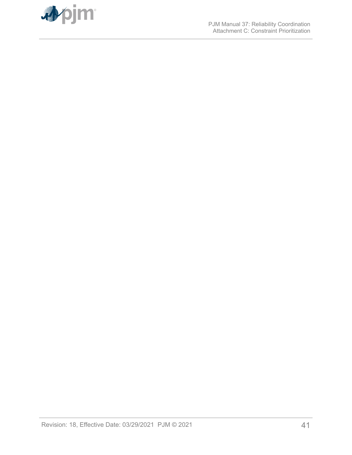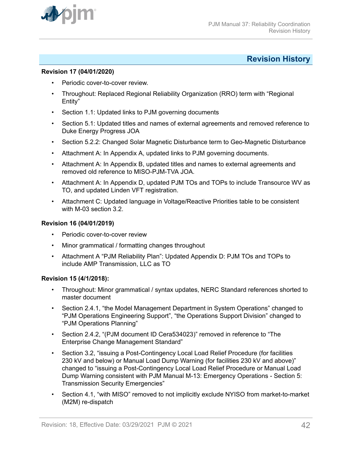<span id="page-41-0"></span>

## **Revision History**

### **Revision 17 (04/01/2020)**

- Periodic cover-to-cover review.
- Throughout: Replaced Regional Reliability Organization (RRO) term with "Regional Entity"
- Section 1.1: Updated links to PJM governing documents
- Section 5.1: Updated titles and names of external agreements and removed reference to Duke Energy Progress JOA
- Section 5.2.2: Changed Solar Magnetic Disturbance term to Geo-Magnetic Disturbance
- Attachment A: In Appendix A, updated links to PJM governing documents.
- Attachment A: In Appendix B, updated titles and names to external agreements and removed old reference to MISO-PJM-TVA JOA.
- Attachment A: In Appendix D, updated PJM TOs and TOPs to include Transource WV as TO, and updated Linden VFT registration.
- Attachment C: Updated language in Voltage/Reactive Priorities table to be consistent with M-03 section 3.2.

### **Revision 16 (04/01/2019)**

- Periodic cover-to-cover review
- Minor grammatical / formatting changes throughout
- Attachment A "PJM Reliability Plan": Updated Appendix D: PJM TOs and TOPs to include AMP Transmission, LLC as TO

## **Revision 15 (4/1/2018):**

- Throughout: Minor grammatical / syntax updates, NERC Standard references shorted to master document
- Section 2.4.1, "the Model Management Department in System Operations" changed to "PJM Operations Engineering Support", "the Operations Support Division" changed to "PJM Operations Planning"
- Section 2.4.2, "(PJM document ID Cera534023)" removed in reference to "The Enterprise Change Management Standard"
- Section 3.2, "issuing a Post-Contingency Local Load Relief Procedure (for facilities 230 kV and below) or Manual Load Dump Warning (for facilities 230 kV and above)" changed to "issuing a Post-Contingency Local Load Relief Procedure or Manual Load Dump Warning consistent with PJM Manual M-13: Emergency Operations - Section 5: Transmission Security Emergencies"
- Section 4.1, "with MISO" removed to not implicitly exclude NYISO from market-to-market (M2M) re-dispatch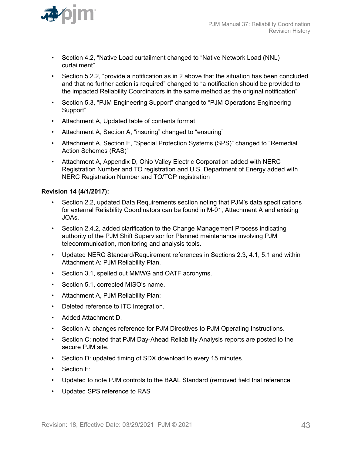

- Section 4.2, "Native Load curtailment changed to "Native Network Load (NNL) curtailment"
- Section 5.2.2, "provide a notification as in 2 above that the situation has been concluded and that no further action is required" changed to "a notification should be provided to the impacted Reliability Coordinators in the same method as the original notification"
- Section 5.3, "PJM Engineering Support" changed to "PJM Operations Engineering Support"
- Attachment A, Updated table of contents format
- Attachment A, Section A, "insuring" changed to "ensuring"
- Attachment A, Section E, "Special Protection Systems (SPS)" changed to "Remedial Action Schemes (RAS)"
- Attachment A, Appendix D, Ohio Valley Electric Corporation added with NERC Registration Number and TO registration and U.S. Department of Energy added with NERC Registration Number and TO/TOP registration

## **Revision 14 (4/1/2017):**

- Section 2.2, updated Data Requirements section noting that PJM's data specifications for external Reliability Coordinators can be found in M-01, Attachment A and existing JOAs.
- Section 2.4.2, added clarification to the Change Management Process indicating authority of the PJM Shift Supervisor for Planned maintenance involving PJM telecommunication, monitoring and analysis tools.
- Updated NERC Standard/Requirement references in Sections 2.3, 4.1, 5.1 and within Attachment A: PJM Reliability Plan.
- Section 3.1, spelled out MMWG and OATF acronyms.
- Section 5.1, corrected MISO's name.
- Attachment A, PJM Reliability Plan:
- Deleted reference to ITC Integration.
- Added Attachment D.
- Section A: changes reference for PJM Directives to PJM Operating Instructions.
- Section C: noted that PJM Day-Ahead Reliability Analysis reports are posted to the secure PJM site.
- Section D: updated timing of SDX download to every 15 minutes.
- Section E:
- Updated to note PJM controls to the BAAL Standard (removed field trial reference
- Updated SPS reference to RAS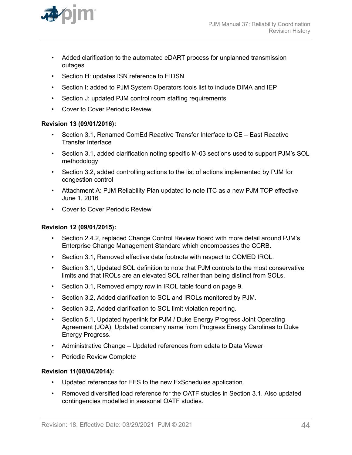

- Added clarification to the automated eDART process for unplanned transmission outages
- Section H: updates ISN reference to EIDSN
- Section I: added to PJM System Operators tools list to include DIMA and IEP
- Section J: updated PJM control room staffing requirements
- Cover to Cover Periodic Review

### **Revision 13 (09/01/2016):**

- Section 3.1, Renamed ComEd Reactive Transfer Interface to CE East Reactive Transfer Interface
- Section 3.1, added clarification noting specific M-03 sections used to support PJM's SOL methodology
- Section 3.2, added controlling actions to the list of actions implemented by PJM for congestion control
- Attachment A: PJM Reliability Plan updated to note ITC as a new PJM TOP effective June 1, 2016
- Cover to Cover Periodic Review

### **Revision 12 (09/01/2015):**

- Section 2.4.2, replaced Change Control Review Board with more detail around PJM's Enterprise Change Management Standard which encompasses the CCRB.
- Section 3.1, Removed effective date footnote with respect to COMED IROL.
- Section 3.1, Updated SOL definition to note that PJM controls to the most conservative limits and that IROLs are an elevated SOL rather than being distinct from SOLs.
- Section 3.1, Removed empty row in IROL table found on page 9.
- Section 3.2, Added clarification to SOL and IROLs monitored by PJM.
- Section 3.2, Added clarification to SOL limit violation reporting.
- Section 5.1, Updated hyperlink for PJM / Duke Energy Progress Joint Operating Agreement (JOA). Updated company name from Progress Energy Carolinas to Duke Energy Progress.
- Administrative Change Updated references from edata to Data Viewer
- Periodic Review Complete

### **Revision 11(08/04/2014):**

- Updated references for EES to the new ExSchedules application.
- Removed diversified load reference for the OATF studies in Section 3.1. Also updated contingencies modelled in seasonal OATF studies.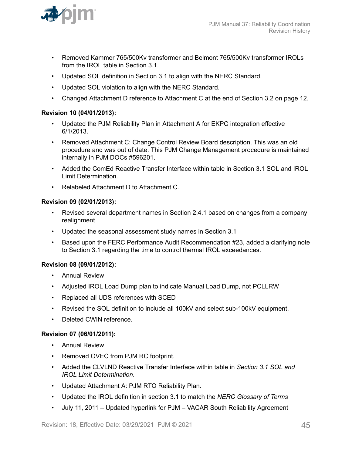

- Removed Kammer 765/500Kv transformer and Belmont 765/500Kv transformer IROLs from the IROL table in Section 3.1.
- Updated SOL definition in Section 3.1 to align with the NERC Standard.
- Updated SOL violation to align with the NERC Standard.
- Changed Attachment D reference to Attachment C at the end of Section 3.2 on page 12.

### **Revision 10 (04/01/2013):**

- Updated the PJM Reliability Plan in Attachment A for EKPC integration effective 6/1/2013.
- Removed Attachment C: Change Control Review Board description. This was an old procedure and was out of date. This PJM Change Management procedure is maintained internally in PJM DOCs #596201.
- Added the ComEd Reactive Transfer Interface within table in Section 3.1 SOL and IROL Limit Determination.
- Relabeled Attachment D to Attachment C.

### **Revision 09 (02/01/2013):**

- Revised several department names in Section 2.4.1 based on changes from a company realignment
- Updated the seasonal assessment study names in Section 3.1
- Based upon the FERC Performance Audit Recommendation #23, added a clarifying note to Section 3.1 regarding the time to control thermal IROL exceedances.

### **Revision 08 (09/01/2012):**

- Annual Review
- Adjusted IROL Load Dump plan to indicate Manual Load Dump, not PCLLRW
- Replaced all UDS references with SCED
- Revised the SOL definition to include all 100kV and select sub-100kV equipment.
- Deleted CWIN reference.

### **Revision 07 (06/01/2011):**

- Annual Review
- Removed OVEC from PJM RC footprint.
- Added the CLVLND Reactive Transfer Interface within table in *Section 3.1 SOL and IROL Limit Determination*.
- Updated Attachment A: PJM RTO Reliability Plan.
- Updated the IROL definition in section 3.1 to match the *NERC Glossary of Terms*
- July 11, 2011 Updated hyperlink for PJM VACAR South Reliability Agreement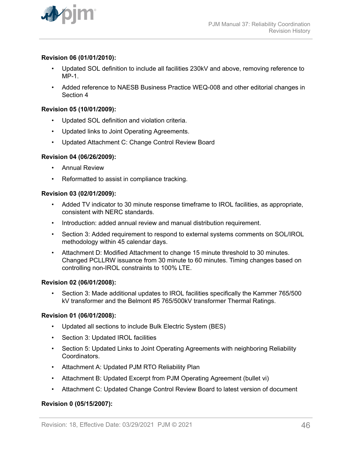

## **Revision 06 (01/01/2010):**

- Updated SOL definition to include all facilities 230kV and above, removing reference to MP-1.
- Added reference to NAESB Business Practice WEQ-008 and other editorial changes in Section 4

### **Revision 05 (10/01/2009):**

- Updated SOL definition and violation criteria.
- Updated links to Joint Operating Agreements.
- Updated Attachment C: Change Control Review Board

### **Revision 04 (06/26/2009):**

- Annual Review
- Reformatted to assist in compliance tracking.

### **Revision 03 (02/01/2009):**

- Added TV indicator to 30 minute response timeframe to IROL facilities, as appropriate, consistent with NERC standards.
- Introduction: added annual review and manual distribution requirement.
- Section 3: Added requirement to respond to external systems comments on SOL/IROL methodology within 45 calendar days.
- Attachment D: Modified Attachment to change 15 minute threshold to 30 minutes. Changed PCLLRW issuance from 30 minute to 60 minutes. Timing changes based on controlling non-IROL constraints to 100% LTE.

### **Revision 02 (06/01/2008):**

• Section 3: Made additional updates to IROL facilities specifically the Kammer 765/500 kV transformer and the Belmont #5 765/500kV transformer Thermal Ratings.

### **Revision 01 (06/01/2008):**

- Updated all sections to include Bulk Electric System (BES)
- Section 3: Updated IROL facilities
- Section 5: Updated Links to Joint Operating Agreements with neighboring Reliability Coordinators.
- Attachment A: Updated PJM RTO Reliability Plan
- Attachment B: Updated Excerpt from PJM Operating Agreement (bullet vi)
- Attachment C: Updated Change Control Review Board to latest version of document

### **Revision 0 (05/15/2007):**